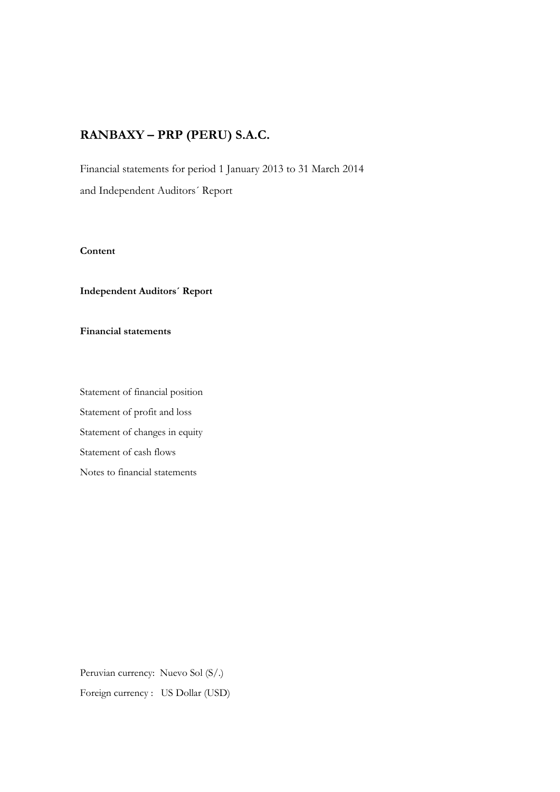Financial statements for period 1 January 2013 to 31 March 2014 and Independent Auditors´ Report

#### **Content**

#### **Independent Auditors´ Report**

# **Financial statements**

Statement of financial position Statement of profit and loss Statement of changes in equity Statement of cash flows Notes to financial statements

Peruvian currency: Nuevo Sol (S/.) Foreign currency : US Dollar (USD)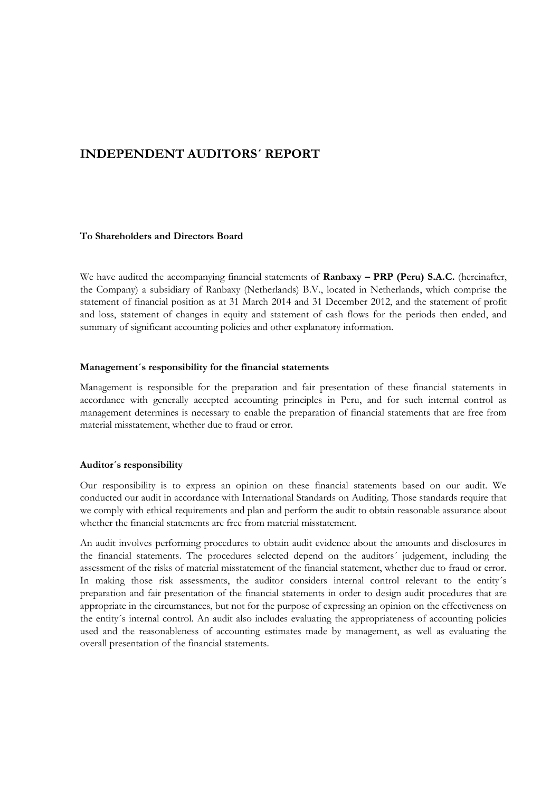# **INDEPENDENT AUDITORS´ REPORT**

#### **To Shareholders and Directors Board**

We have audited the accompanying financial statements of **Ranbaxy – PRP (Peru) S.A.C.** (hereinafter, the Company) a subsidiary of Ranbaxy (Netherlands) B.V., located in Netherlands, which comprise the statement of financial position as at 31 March 2014 and 31 December 2012, and the statement of profit and loss, statement of changes in equity and statement of cash flows for the periods then ended, and summary of significant accounting policies and other explanatory information.

#### **Management´s responsibility for the financial statements**

Management is responsible for the preparation and fair presentation of these financial statements in accordance with generally accepted accounting principles in Peru, and for such internal control as management determines is necessary to enable the preparation of financial statements that are free from material misstatement, whether due to fraud or error.

#### **Auditor´s responsibility**

Our responsibility is to express an opinion on these financial statements based on our audit. We conducted our audit in accordance with International Standards on Auditing. Those standards require that we comply with ethical requirements and plan and perform the audit to obtain reasonable assurance about whether the financial statements are free from material misstatement.

An audit involves performing procedures to obtain audit evidence about the amounts and disclosures in the financial statements. The procedures selected depend on the auditors´ judgement, including the assessment of the risks of material misstatement of the financial statement, whether due to fraud or error. In making those risk assessments, the auditor considers internal control relevant to the entity´s preparation and fair presentation of the financial statements in order to design audit procedures that are appropriate in the circumstances, but not for the purpose of expressing an opinion on the effectiveness on the entity´s internal control. An audit also includes evaluating the appropriateness of accounting policies used and the reasonableness of accounting estimates made by management, as well as evaluating the overall presentation of the financial statements.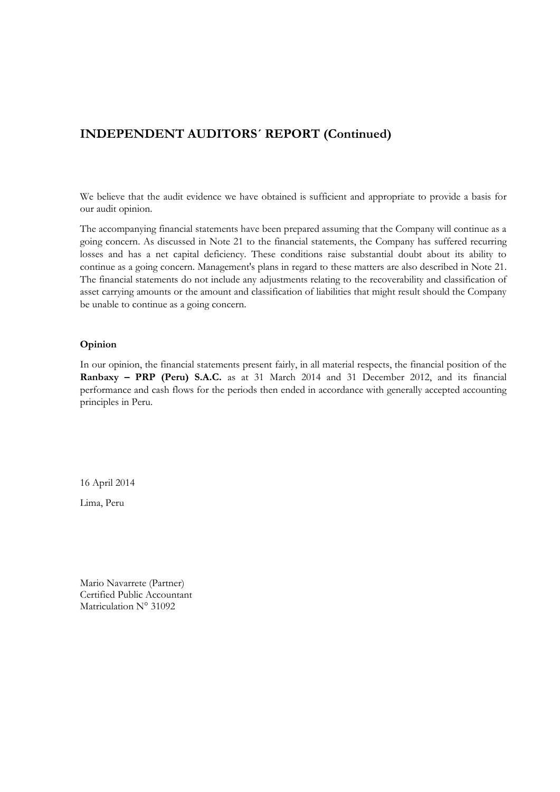# **INDEPENDENT AUDITORS´ REPORT (Continued)**

We believe that the audit evidence we have obtained is sufficient and appropriate to provide a basis for our audit opinion.

The accompanying financial statements have been prepared assuming that the Company will continue as a going concern. As discussed in Note 21 to the financial statements, the Company has suffered recurring losses and has a net capital deficiency. These conditions raise substantial doubt about its ability to continue as a going concern. Management's plans in regard to these matters are also described in Note 21. The financial statements do not include any adjustments relating to the recoverability and classification of asset carrying amounts or the amount and classification of liabilities that might result should the Company be unable to continue as a going concern.

#### **Opinion**

In our opinion, the financial statements present fairly, in all material respects, the financial position of the **Ranbaxy – PRP (Peru) S.A.C.** as at 31 March 2014 and 31 December 2012, and its financial performance and cash flows for the periods then ended in accordance with generally accepted accounting principles in Peru.

16 April 2014

Lima, Peru

Mario Navarrete (Partner) Certified Public Accountant Matriculation N° 31092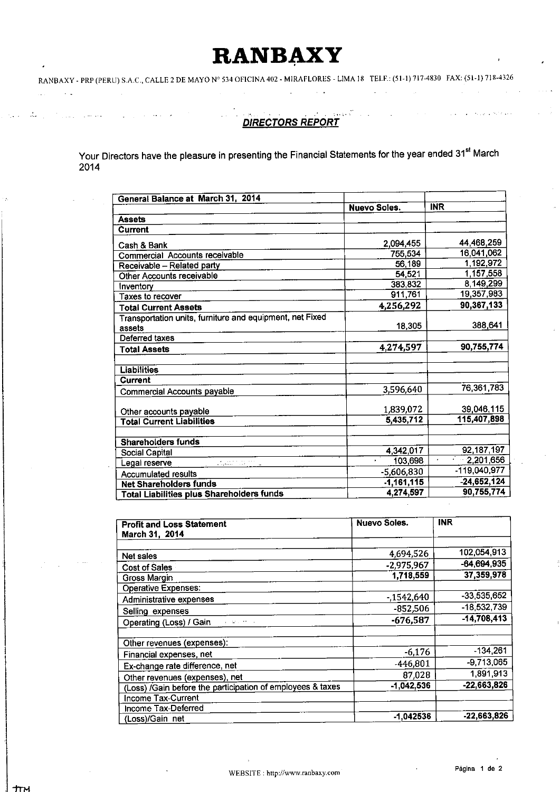# **RANBAXY**

# **DIRECTORS REPORT**

 $\mathcal{L}^{\mathcal{L}}$ 

 $\sim$   $\sim$ 

Your Directors have the pleasure in presenting the Financial Statements for the year ended 31<sup>st</sup> March 2014

| General Balance at March 31, 2014                                                                                                                                                                                                                                                     |                     |                           |
|---------------------------------------------------------------------------------------------------------------------------------------------------------------------------------------------------------------------------------------------------------------------------------------|---------------------|---------------------------|
|                                                                                                                                                                                                                                                                                       | <b>Nuevo Soles.</b> | <b>INR</b>                |
| <b>Assets</b>                                                                                                                                                                                                                                                                         |                     |                           |
| <b>Current</b>                                                                                                                                                                                                                                                                        |                     |                           |
| Cash & Bank                                                                                                                                                                                                                                                                           | 2.094,455           | 44,468,259                |
| Commercial Accounts receivable                                                                                                                                                                                                                                                        | 755,534             | 16,041,062                |
| Receivable - Related party                                                                                                                                                                                                                                                            | 56,189              | 1,192,972                 |
| Other Accounts receivable                                                                                                                                                                                                                                                             | 54.521              | 1,157,558                 |
| Inventory                                                                                                                                                                                                                                                                             | 383,832             | 8,149,299                 |
| Taxes to recover                                                                                                                                                                                                                                                                      | 911,761             | 19,357,983                |
| <b>Total Current Assets</b>                                                                                                                                                                                                                                                           | 4,256,292           | 90.367.133                |
| Transportation units, furniture and equipment, net Fixed                                                                                                                                                                                                                              |                     |                           |
| assets                                                                                                                                                                                                                                                                                | 18,305              | 388,641                   |
| Deferred taxes                                                                                                                                                                                                                                                                        |                     |                           |
| <b>Total Assets</b>                                                                                                                                                                                                                                                                   | 4,274,597           | 90,755,774                |
| Liabilities                                                                                                                                                                                                                                                                           |                     |                           |
| Current                                                                                                                                                                                                                                                                               |                     |                           |
| Commercial Accounts payable                                                                                                                                                                                                                                                           | 3,596,640           | 76,361,783                |
| Other accounts payable                                                                                                                                                                                                                                                                | 1,839,072           | 39,046,115                |
| <b>Total Current Liabilities</b>                                                                                                                                                                                                                                                      | 5,435,712           | 115,407,898               |
| <b>Shareholders funds</b>                                                                                                                                                                                                                                                             |                     |                           |
| Social Capital                                                                                                                                                                                                                                                                        | 4,342,017           | 92,187,197                |
| Legal reserve<br>$\mathcal{L}_{\text{max}}$ and $\mathcal{L}_{\text{max}}$ and $\mathcal{L}_{\text{max}}$ . The second second second second second second second second second second second second second second second second second second second second second second second seco | 103,698             | $-2,201,656$<br>$\bullet$ |
| <b>Accumulated results</b>                                                                                                                                                                                                                                                            | -5,606,830          | $-119,040,977$            |
| <b>Net Shareholders funds</b>                                                                                                                                                                                                                                                         | $-1,161,115$        | $-24,652,124$             |
| <b>Total Liabilities plus Shareholders funds</b>                                                                                                                                                                                                                                      | 4,274,597           | 90,755,774                |

| <b>Profit and Loss Statement</b>                           | <b>Nuevo Soles.</b> | <b>INR</b>    |
|------------------------------------------------------------|---------------------|---------------|
| March 31, 2014                                             |                     |               |
| Net sales                                                  | 4,694,526           | 102,054,913   |
| Cost of Sales                                              | $-2,975,967$        | $-64,694,935$ |
| Gross Margin                                               | 1,718,559           | 37,359,978    |
| <b>Operative Expenses:</b>                                 |                     |               |
| Administrative expenses                                    | $-1542,640$         | $-33,535,652$ |
| Selling expenses                                           | $-852,506$          | $-18,532,739$ |
| Operating (Loss) / Gain<br>programmers.                    | $-676,587$          | $-14,708,413$ |
| Other revenues (expenses):                                 |                     |               |
| Financial expenses, net                                    | $-6,176$            | $-134,261$    |
| Ex-change rate difference, net                             | $-446,801$          | $-9,713,065$  |
| Other revenues (expenses), net                             | 87,028              | 1891,913      |
| (Loss) /Gain before the participation of employees & taxes | $-1,042,536$        | $-22,663,826$ |
| Income Tax-Current                                         |                     |               |
| Income Tax-Deferred                                        |                     |               |
| (Loss)/Gain net                                            | -1.042536           | -22,663,826   |

J.

 $\zeta \to \pi \pi \pi^0$ 

 $\mathcal{L}_{\mathcal{A}}$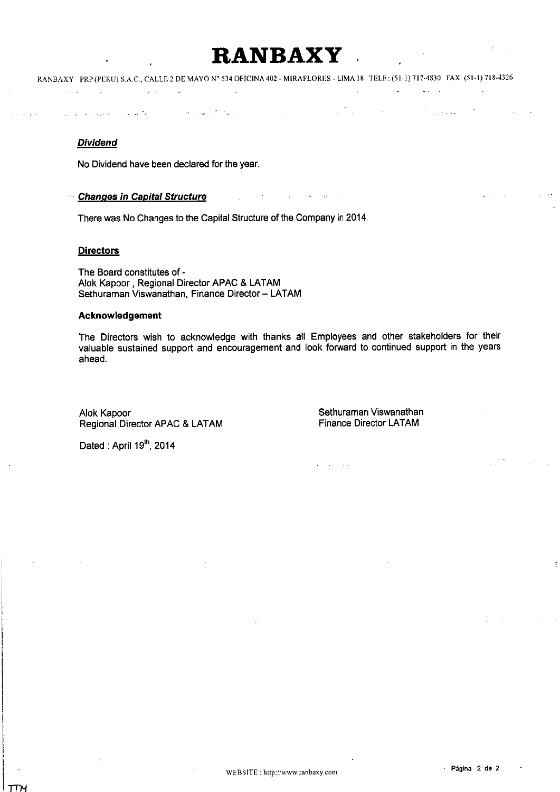# RANBAXY

#### **Dividend**

 $\sim 10^{11}$ 

**Sales** 

No Dividend have been declared for the year.

 $\mathbf{A}$ 

#### **Changes in Capital Structure**

 $\hat{f}$  and  $\hat{f}$  are  $\hat{f}$ 

أنوار أيوارد

There was No Changes to the Capital Structure of the Company in 2014.

 $\sim$ 

 $\mathcal{A}$  and  $\mathcal{A}$  is the property of the set of the set of  $\mathcal{A}$ 

#### **Directors**

The Board constitutes of -Alok Kapoor, Regional Director APAC & LATAM Sethuraman Viswanathan, Finance Director - LATAM

#### Acknowledgement

The Directors wish to acknowledge with thanks all Employees and other stakeholders for their valuable sustained support and encouragement and look forward to continued support in the years ahead.

complete the complete state of

Alok Kapoor Regional Director APAC & LATAM Sethuraman Viswanathan **Finance Director LATAM** 

 $\mathcal{A}^{\mathcal{A}}$ 

 $\frac{1}{2} \frac{1}{2} \left( \frac{1}{2} \right)$  ,  $\frac{1}{2} \left( \frac{1}{2} \right)$ 

**Contract** 

Dated: April 19th, 2014

أتناب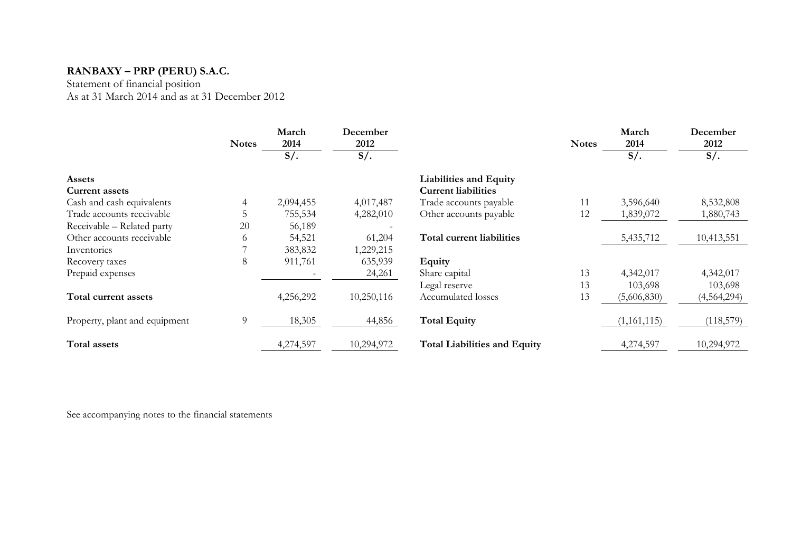Statement of financial position As at 31 March 2014 and as at 31 December 2012

|                               | <b>Notes</b>   | March<br>2014 | December<br>2012 |                                     | <b>Notes</b> | March<br>2014 | December<br>2012 |
|-------------------------------|----------------|---------------|------------------|-------------------------------------|--------------|---------------|------------------|
|                               |                | $S/\lambda$ . | $S/\lambda$ .    |                                     |              | $S/$ .        | $S/\mathcal{A}$  |
| <b>Assets</b>                 |                |               |                  | <b>Liabilities and Equity</b>       |              |               |                  |
| <b>Current assets</b>         |                |               |                  | <b>Current liabilities</b>          |              |               |                  |
| Cash and cash equivalents     |                | 2,094,455     | 4,017,487        | Trade accounts payable              | 11           | 3,596,640     | 8,532,808        |
| Trade accounts receivable     |                | 755,534       | 4,282,010        | Other accounts payable              | 12           | 1,839,072     | 1,880,743        |
| Receivable - Related party    | 20             | 56,189        |                  |                                     |              |               |                  |
| Other accounts receivable     | $\sigma$       | 54,521        | 61,204           | Total current liabilities           |              | 5,435,712     | 10,413,551       |
| Inventories                   |                | 383,832       | 1,229,215        |                                     |              |               |                  |
| Recovery taxes                | 8              | 911,761       | 635,939          | Equity                              |              |               |                  |
| Prepaid expenses              |                |               | 24,261           | Share capital                       | 13           | 4,342,017     | 4,342,017        |
|                               |                |               |                  | Legal reserve                       | 13           | 103,698       | 103,698          |
| Total current assets          |                | 4,256,292     | 10,250,116       | Accumulated losses                  | 13           | (5,606,830)   | (4, 564, 294)    |
| Property, plant and equipment | $\overline{9}$ | 18,305        | 44,856           | <b>Total Equity</b>                 |              | (1,161,115)   | (118,579)        |
| <b>Total assets</b>           |                | 4,274,597     | 10,294,972       | <b>Total Liabilities and Equity</b> |              | 4,274,597     | 10,294,972       |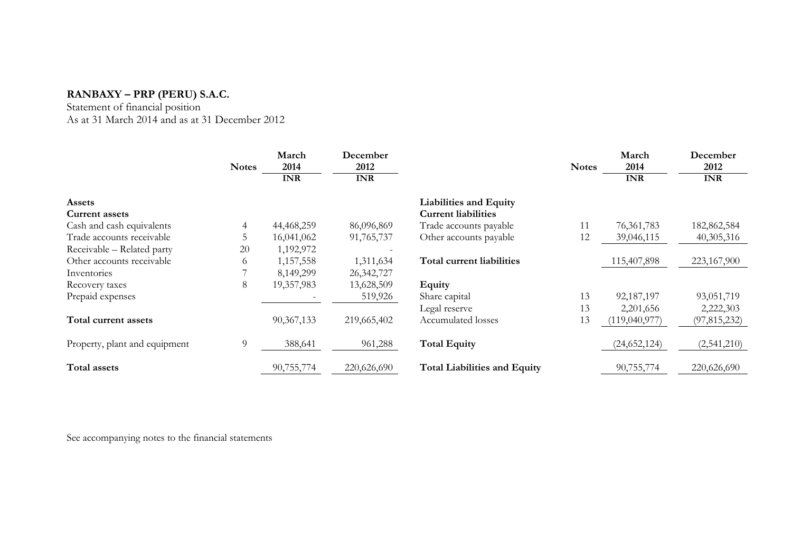Statement of financial position As at 31 March 2014 and as at 31 December 2012

|                               | <b>Notes</b> | March<br>2014 | December<br>2012 |                                     | <b>Notes</b> | March<br>2014  | December<br>2012 |
|-------------------------------|--------------|---------------|------------------|-------------------------------------|--------------|----------------|------------------|
|                               |              | <b>INR</b>    | <b>INR</b>       |                                     |              | <b>INR</b>     | <b>INR</b>       |
| <b>Assets</b>                 |              |               |                  | <b>Liabilities and Equity</b>       |              |                |                  |
| <b>Current assets</b>         |              |               |                  | <b>Current liabilities</b>          |              |                |                  |
| Cash and cash equivalents     |              | 44,468,259    | 86,096,869       | Trade accounts payable              |              | 76, 361, 783   | 182,862,584      |
| Trade accounts receivable     |              | 16,041,062    | 91,765,737       | Other accounts payable              | 12           | 39,046,115     | 40,305,316       |
| Receivable - Related party    | 20           | 1,192,972     |                  |                                     |              |                |                  |
| Other accounts receivable     | $\sigma$     | 1,157,558     | 1,311,634        | Total current liabilities           |              | 115,407,898    | 223,167,900      |
| Inventories                   |              | 8,149,299     | 26,342,727       |                                     |              |                |                  |
| Recovery taxes                | 8            | 19,357,983    | 13,628,509       | <b>Equity</b>                       |              |                |                  |
| Prepaid expenses              |              |               | 519,926          | Share capital                       | 13           | 92,187,197     | 93,051,719       |
|                               |              |               |                  | Legal reserve                       | 13           | 2,201,656      | 2,222,303        |
| Total current assets          |              | 90,367,133    | 219,665,402      | Accumulated losses                  | 13           | (119,040,977)  | (97, 815, 232)   |
| Property, plant and equipment | 9            | 388,641       | 961,288          | <b>Total Equity</b>                 |              | (24, 652, 124) | (2,541,210)      |
| Total assets                  |              | 90,755,774    | 220,626,690      | <b>Total Liabilities and Equity</b> |              | 90,755,774     | 220,626,690      |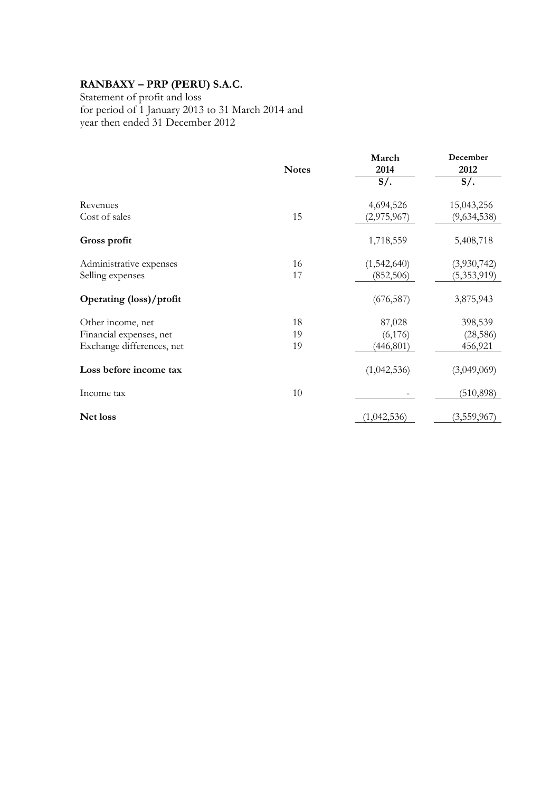Statement of profit and loss for period of 1 January 2013 to 31 March 2014 and year then ended 31 December 2012

|                           | <b>Notes</b> | March<br>2014 | December<br>2012 |
|---------------------------|--------------|---------------|------------------|
|                           |              | $S/$ .        | $S/\alpha$ .     |
| Revenues                  |              | 4,694,526     | 15,043,256       |
| Cost of sales             | 15           | (2,975,967)   | (9,634,538)      |
| Gross profit              |              | 1,718,559     | 5,408,718        |
| Administrative expenses   | 16           | (1,542,640)   | (3,930,742)      |
| Selling expenses          | 17           | (852, 506)    | (5,353,919)      |
| Operating (loss)/profit   |              | (676, 587)    | 3,875,943        |
| Other income, net         | 18           | 87,028        | 398,539          |
| Financial expenses, net   | 19           | (6,176)       | (28, 586)        |
| Exchange differences, net | 19           | (446, 801)    | 456,921          |
| Loss before income tax    |              | (1,042,536)   | (3,049,069)      |
| Income tax                | 10           |               | (510, 898)       |
| Net loss                  |              | (1,042,536)   | (3,559,967)      |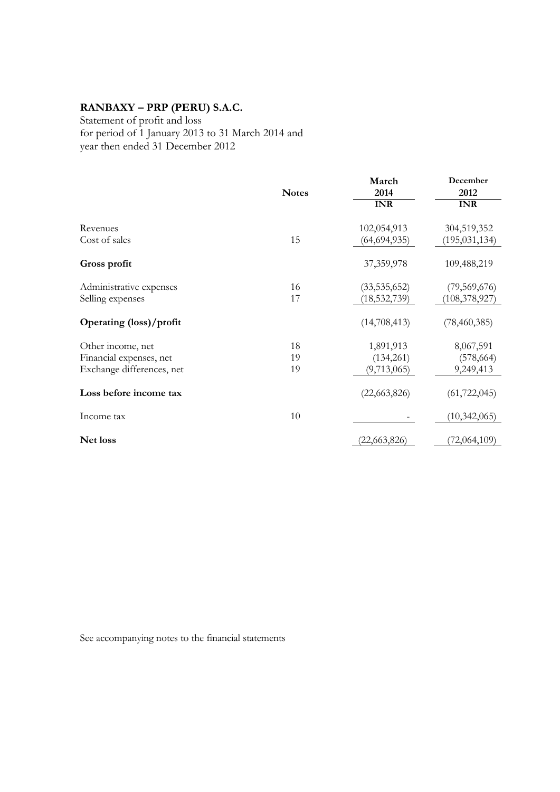Statement of profit and loss for period of 1 January 2013 to 31 March 2014 and year then ended 31 December 2012

|                           |              | March          | December        |
|---------------------------|--------------|----------------|-----------------|
|                           | <b>Notes</b> | 2014           | 2012            |
|                           |              | <b>INR</b>     | <b>INR</b>      |
| Revenues                  |              | 102,054,913    | 304,519,352     |
| Cost of sales             | 15           | (64, 694, 935) | (195, 031, 134) |
| Gross profit              |              | 37,359,978     | 109,488,219     |
| Administrative expenses   | 16           | (33, 535, 652) | (79, 569, 676)  |
| Selling expenses          | 17           | (18, 532, 739) | (108, 378, 927) |
| Operating (loss)/profit   |              | (14,708,413)   | (78, 460, 385)  |
| Other income, net         | 18           | 1,891,913      | 8,067,591       |
| Financial expenses, net   | 19           | (134,261)      | (578, 664)      |
| Exchange differences, net | 19           | (9,713,065)    | 9,249,413       |
| Loss before income tax    |              | (22,663,826)   | (61, 722, 045)  |
| Income tax                | 10           |                | (10, 342, 065)  |
| Net loss                  |              | (22, 663, 826) | (72,064,109)    |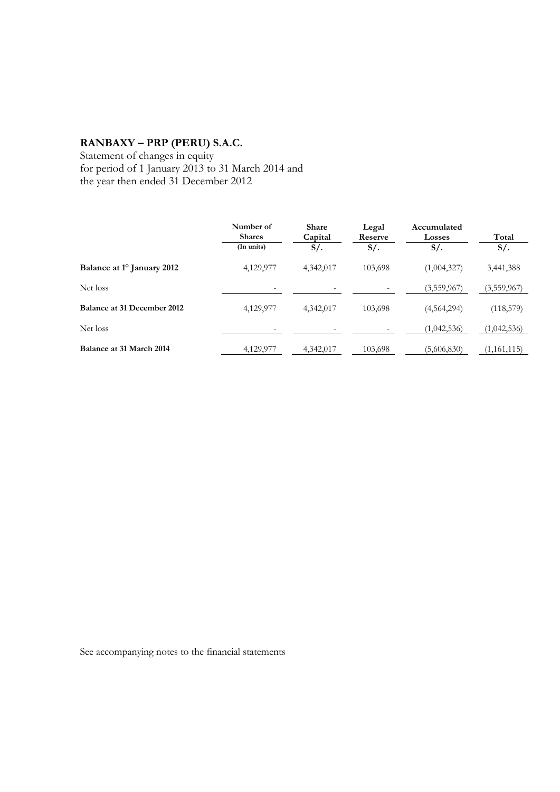Statement of changes in equity for period of 1 January 2013 to 31 March 2014 and the year then ended 31 December 2012

|                                        | Number of<br><b>Shares</b><br>(In units) | <b>Share</b><br>Capital<br>$S/\cdot$ | Legal<br>Reserve<br>$S/$ . | Accumulated<br><b>Losses</b><br>$S/\lambda$ | Total<br>$S/\sim$ |
|----------------------------------------|------------------------------------------|--------------------------------------|----------------------------|---------------------------------------------|-------------------|
| Balance at 1 <sup>o</sup> January 2012 | 4,129,977                                | 4,342,017                            | 103,698                    | (1,004,327)                                 | 3,441,388         |
| Net loss                               |                                          | -                                    |                            | (3,559,967)                                 | (3,559,967)       |
| Balance at 31 December 2012            | 4,129,977                                | 4,342,017                            | 103,698                    | (4,564,294)                                 | (118,579)         |
| Net loss                               | ۰                                        | -                                    |                            | (1,042,536)                                 | (1,042,536)       |
| Balance at 31 March 2014               | 4,129,977                                | 4,342,017                            | 103,698                    | (5,606,830)                                 | (1,161,115)       |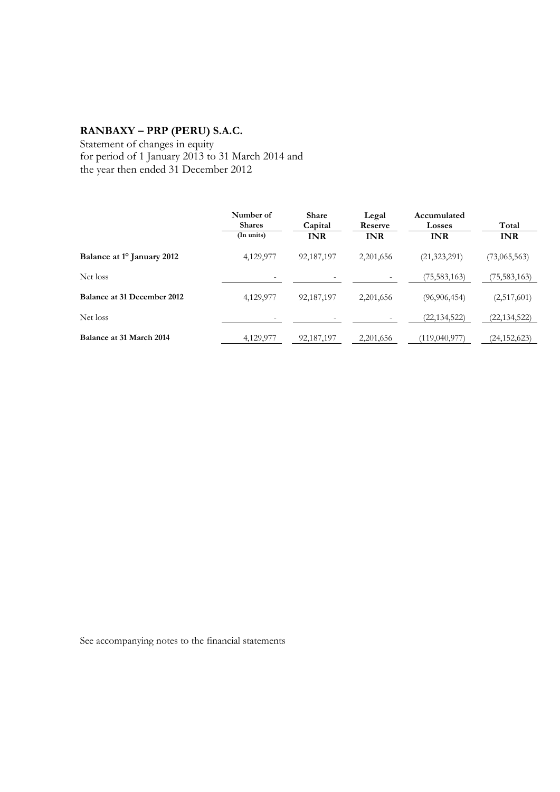Statement of changes in equity for period of 1 January 2013 to 31 March 2014 and the year then ended 31 December 2012

|                                        | Number of<br><b>Shares</b> | <b>Share</b><br>Capital | Legal<br>Reserve | Accumulated<br>Losses | Total          |
|----------------------------------------|----------------------------|-------------------------|------------------|-----------------------|----------------|
|                                        | (In units)                 | <b>INR</b>              | <b>INR</b>       | <b>INR</b>            | <b>INR</b>     |
| Balance at 1 <sup>o</sup> January 2012 | 4,129,977                  | 92,187,197              | 2,201,656        | (21, 323, 291)        | (73,065,563)   |
| Net loss                               |                            |                         |                  | (75, 583, 163)        | 75,583,163)    |
| Balance at 31 December 2012            | 4,129,977                  | 92,187,197              | 2,201,656        | (96, 906, 454)        | (2,517,601)    |
| Net loss                               | ۰                          |                         |                  | (22, 134, 522)        | (22,134,522)   |
| Balance at 31 March 2014               | 4,129,977                  | 92,187,197              | 2,201,656        | (119,040,977)         | (24, 152, 623) |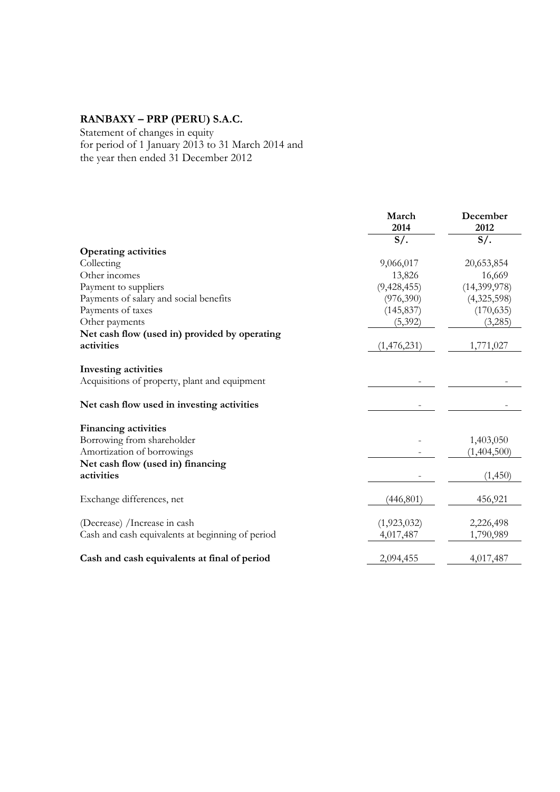Statement of changes in equity for period of 1 January 2013 to 31 March 2014 and the year then ended 31 December 2012

|                                                  | March<br>2014 | December<br>2012 |
|--------------------------------------------------|---------------|------------------|
|                                                  | $S/$ .        | $S/$ .           |
| <b>Operating activities</b>                      |               |                  |
| Collecting                                       | 9,066,017     | 20,653,854       |
| Other incomes                                    | 13,826        | 16,669           |
| Payment to suppliers                             | (9,428,455)   | (14,399,978)     |
| Payments of salary and social benefits           | (976,390)     | (4,325,598)      |
| Payments of taxes                                | (145, 837)    | (170, 635)       |
| Other payments                                   | (5,392)       | (3,285)          |
| Net cash flow (used in) provided by operating    |               |                  |
| activities                                       | (1,476,231)   | 1,771,027        |
| <b>Investing activities</b>                      |               |                  |
| Acquisitions of property, plant and equipment    |               |                  |
| Net cash flow used in investing activities       |               |                  |
| <b>Financing activities</b>                      |               |                  |
| Borrowing from shareholder                       |               | 1,403,050        |
| Amortization of borrowings                       |               | (1,404,500)      |
| Net cash flow (used in) financing                |               |                  |
| activities                                       |               | (1,450)          |
| Exchange differences, net                        | (446, 801)    | 456,921          |
| (Decrease) /Increase in cash                     | (1,923,032)   | 2,226,498        |
| Cash and cash equivalents at beginning of period | 4,017,487     | 1,790,989        |
| Cash and cash equivalents at final of period     | 2,094,455     | 4,017,487        |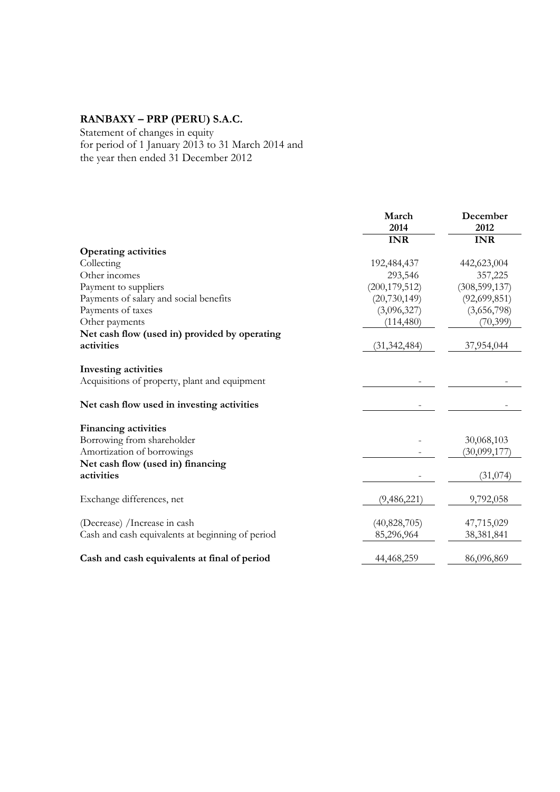Statement of changes in equity for period of 1 January 2013 to 31 March 2014 and the year then ended 31 December 2012

|                                                  | March<br>2014   | December<br>2012 |
|--------------------------------------------------|-----------------|------------------|
|                                                  | <b>INR</b>      | <b>INR</b>       |
| <b>Operating activities</b>                      |                 |                  |
| Collecting                                       | 192,484,437     | 442,623,004      |
| Other incomes                                    | 293,546         | 357,225          |
| Payment to suppliers                             | (200, 179, 512) | (308, 599, 137)  |
| Payments of salary and social benefits           | (20, 730, 149)  | (92,699,851)     |
| Payments of taxes                                | (3,096,327)     | (3,656,798)      |
| Other payments                                   | (114, 480)      | (70, 399)        |
| Net cash flow (used in) provided by operating    |                 |                  |
| activities                                       | (31, 342, 484)  | 37,954,044       |
| <b>Investing activities</b>                      |                 |                  |
| Acquisitions of property, plant and equipment    |                 |                  |
| Net cash flow used in investing activities       |                 |                  |
| <b>Financing activities</b>                      |                 |                  |
| Borrowing from shareholder                       |                 | 30,068,103       |
| Amortization of borrowings                       |                 | (30,099,177)     |
| Net cash flow (used in) financing                |                 |                  |
| activities                                       |                 | (31, 074)        |
| Exchange differences, net                        | (9,486,221)     | 9,792,058        |
| (Decrease) /Increase in cash                     | (40,828,705)    | 47,715,029       |
| Cash and cash equivalents at beginning of period | 85,296,964      | 38,381,841       |
| Cash and cash equivalents at final of period     | 44,468,259      | 86,096,869       |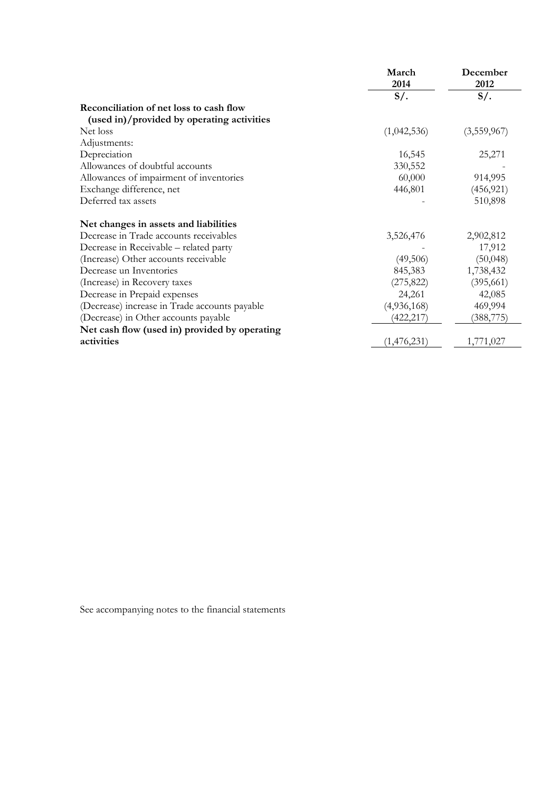|                                               | March<br>2014 | December<br>2012 |
|-----------------------------------------------|---------------|------------------|
|                                               | $S/$ .        | $S/$ .           |
| Reconciliation of net loss to cash flow       |               |                  |
| (used in)/provided by operating activities    |               |                  |
| Net loss                                      | (1,042,536)   | (3,559,967)      |
| Adjustments:                                  |               |                  |
| Depreciation                                  | 16,545        | 25,271           |
| Allowances of doubtful accounts               | 330,552       |                  |
| Allowances of impairment of inventories       | 60,000        | 914,995          |
| Exchange difference, net                      | 446,801       | (456, 921)       |
| Deferred tax assets                           |               | 510,898          |
| Net changes in assets and liabilities         |               |                  |
| Decrease in Trade accounts receivables        | 3,526,476     | 2,902,812        |
| Decrease in Receivable – related party        |               | 17,912           |
| (Increase) Other accounts receivable          | (49,506)      | (50,048)         |
| Decrease un Inventories                       | 845,383       | 1,738,432        |
| (Increase) in Recovery taxes                  | (275, 822)    | (395, 661)       |
| Decrease in Prepaid expenses                  | 24,261        | 42,085           |
| (Decrease) increase in Trade accounts payable | (4,936,168)   | 469,994          |
| (Decrease) in Other accounts payable          | (422, 217)    | (388, 775)       |
| Net cash flow (used in) provided by operating |               |                  |
| activities                                    | (1,476,231)   | 1,771,027        |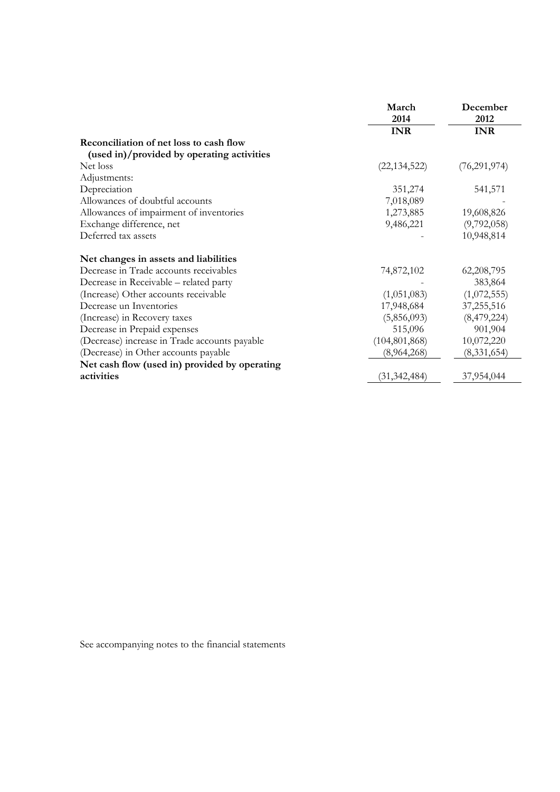|                                               | March           | December       |
|-----------------------------------------------|-----------------|----------------|
|                                               | 2014            | 2012           |
|                                               | <b>INR</b>      | <b>INR</b>     |
| Reconciliation of net loss to cash flow       |                 |                |
| (used in)/provided by operating activities    |                 |                |
| Net loss                                      | (22, 134, 522)  | (76, 291, 974) |
| Adjustments:                                  |                 |                |
| Depreciation                                  | 351,274         | 541,571        |
| Allowances of doubtful accounts               | 7,018,089       |                |
| Allowances of impairment of inventories       | 1,273,885       | 19,608,826     |
| Exchange difference, net                      | 9,486,221       | (9,792,058)    |
| Deferred tax assets                           |                 | 10,948,814     |
| Net changes in assets and liabilities         |                 |                |
| Decrease in Trade accounts receivables        | 74,872,102      | 62, 208, 795   |
| Decrease in Receivable - related party        |                 | 383,864        |
| (Increase) Other accounts receivable          | (1,051,083)     | (1,072,555)    |
| Decrease un Inventories                       | 17,948,684      | 37,255,516     |
| (Increase) in Recovery taxes                  | (5,856,093)     | (8,479,224)    |
| Decrease in Prepaid expenses                  | 515,096         | 901,904        |
| (Decrease) increase in Trade accounts payable | (104, 801, 868) | 10,072,220     |
| (Decrease) in Other accounts payable          | (8,964,268)     | (8,331,654)    |
| Net cash flow (used in) provided by operating |                 |                |
| activities                                    | (31, 342, 484)  | 37,954,044     |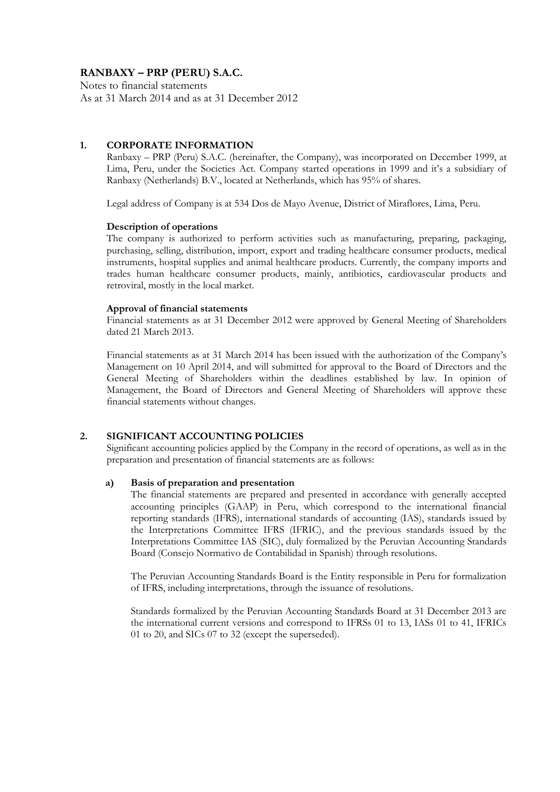Notes to financial statements As at 31 March 2014 and as at 31 December 2012

#### **1. CORPORATE INFORMATION**

Ranbaxy – PRP (Peru) S.A.C. (hereinafter, the Company), was incorporated on December 1999, at Lima, Peru, under the Societies Act. Company started operations in 1999 and it's a subsidiary of Ranbaxy (Netherlands) B.V., located at Netherlands, which has 95% of shares.

Legal address of Company is at 534 Dos de Mayo Avenue, District of Miraflores, Lima, Peru.

#### **Description of operations**

The company is authorized to perform activities such as manufacturing, preparing, packaging, purchasing, selling, distribution, import, export and trading healthcare consumer products, medical instruments, hospital supplies and animal healthcare products. Currently, the company imports and trades human healthcare consumer products, mainly, antibiotics, cardiovascular products and retroviral, mostly in the local market.

#### **Approval of financial statements**

Financial statements as at 31 December 2012 were approved by General Meeting of Shareholders dated 21 March 2013.

Financial statements as at 31 March 2014 has been issued with the authorization of the Company's Management on 10 April 2014, and will submitted for approval to the Board of Directors and the General Meeting of Shareholders within the deadlines established by law. In opinion of Management, the Board of Directors and General Meeting of Shareholders will approve these financial statements without changes.

#### **2. SIGNIFICANT ACCOUNTING POLICIES**

Significant accounting policies applied by the Company in the record of operations, as well as in the preparation and presentation of financial statements are as follows:

#### **a) Basis of preparation and presentation**

The financial statements are prepared and presented in accordance with generally accepted accounting principles (GAAP) in Peru, which correspond to the international financial reporting standards (IFRS), international standards of accounting (IAS), standards issued by the Interpretations Committee IFRS (IFRIC), and the previous standards issued by the Interpretations Committee IAS (SIC), duly formalized by the Peruvian Accounting Standards Board (Consejo Normativo de Contabilidad in Spanish) through resolutions.

The Peruvian Accounting Standards Board is the Entity responsible in Peru for formalization of IFRS, including interpretations, through the issuance of resolutions.

Standards formalized by the Peruvian Accounting Standards Board at 31 December 2013 are the international current versions and correspond to IFRSs 01 to 13, IASs 01 to 41, IFRICs 01 to 20, and SICs 07 to 32 (except the superseded).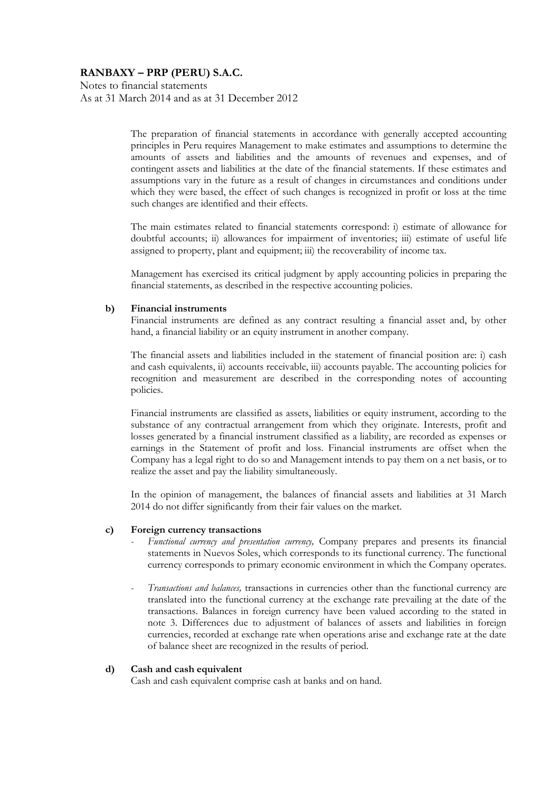Notes to financial statements As at 31 March 2014 and as at 31 December 2012

> The preparation of financial statements in accordance with generally accepted accounting principles in Peru requires Management to make estimates and assumptions to determine the amounts of assets and liabilities and the amounts of revenues and expenses, and of contingent assets and liabilities at the date of the financial statements. If these estimates and assumptions vary in the future as a result of changes in circumstances and conditions under which they were based, the effect of such changes is recognized in profit or loss at the time such changes are identified and their effects.

> The main estimates related to financial statements correspond: i) estimate of allowance for doubtful accounts; ii) allowances for impairment of inventories; iii) estimate of useful life assigned to property, plant and equipment; iii) the recoverability of income tax.

> Management has exercised its critical judgment by apply accounting policies in preparing the financial statements, as described in the respective accounting policies.

#### **b) Financial instruments**

Financial instruments are defined as any contract resulting a financial asset and, by other hand, a financial liability or an equity instrument in another company.

The financial assets and liabilities included in the statement of financial position are: i) cash and cash equivalents, ii) accounts receivable, iii) accounts payable. The accounting policies for recognition and measurement are described in the corresponding notes of accounting policies.

Financial instruments are classified as assets, liabilities or equity instrument, according to the substance of any contractual arrangement from which they originate. Interests, profit and losses generated by a financial instrument classified as a liability, are recorded as expenses or earnings in the Statement of profit and loss. Financial instruments are offset when the Company has a legal right to do so and Management intends to pay them on a net basis, or to realize the asset and pay the liability simultaneously.

In the opinion of management, the balances of financial assets and liabilities at 31 March 2014 do not differ significantly from their fair values on the market.

#### **c) Foreign currency transactions**

- *- Functional currency and presentation currency,* Company prepares and presents its financial statements in Nuevos Soles, which corresponds to its functional currency. The functional currency corresponds to primary economic environment in which the Company operates.
- *- Transactions and balances,* transactions in currencies other than the functional currency are translated into the functional currency at the exchange rate prevailing at the date of the transactions. Balances in foreign currency have been valued according to the stated in note 3. Differences due to adjustment of balances of assets and liabilities in foreign currencies, recorded at exchange rate when operations arise and exchange rate at the date of balance sheet are recognized in the results of period.

#### **d) Cash and cash equivalent**

Cash and cash equivalent comprise cash at banks and on hand.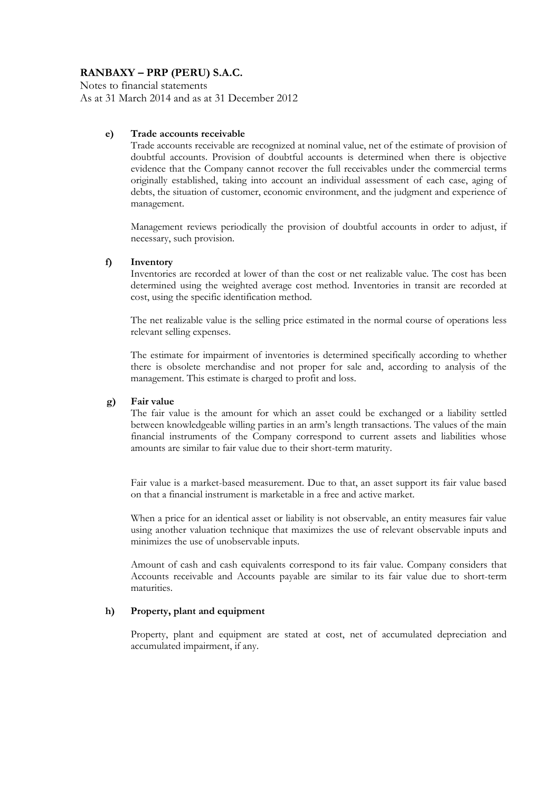Notes to financial statements As at 31 March 2014 and as at 31 December 2012

#### **e) Trade accounts receivable**

Trade accounts receivable are recognized at nominal value, net of the estimate of provision of doubtful accounts. Provision of doubtful accounts is determined when there is objective evidence that the Company cannot recover the full receivables under the commercial terms originally established, taking into account an individual assessment of each case, aging of debts, the situation of customer, economic environment, and the judgment and experience of management.

Management reviews periodically the provision of doubtful accounts in order to adjust, if necessary, such provision.

#### **f) Inventory**

Inventories are recorded at lower of than the cost or net realizable value. The cost has been determined using the weighted average cost method. Inventories in transit are recorded at cost, using the specific identification method.

The net realizable value is the selling price estimated in the normal course of operations less relevant selling expenses.

The estimate for impairment of inventories is determined specifically according to whether there is obsolete merchandise and not proper for sale and, according to analysis of the management. This estimate is charged to profit and loss.

#### **g) Fair value**

The fair value is the amount for which an asset could be exchanged or a liability settled between knowledgeable willing parties in an arm's length transactions. The values of the main financial instruments of the Company correspond to current assets and liabilities whose amounts are similar to fair value due to their short-term maturity.

Fair value is a market-based measurement. Due to that, an asset support its fair value based on that a financial instrument is marketable in a free and active market.

When a price for an identical asset or liability is not observable, an entity measures fair value using another valuation technique that maximizes the use of relevant observable inputs and minimizes the use of unobservable inputs.

Amount of cash and cash equivalents correspond to its fair value. Company considers that Accounts receivable and Accounts payable are similar to its fair value due to short-term maturities.

#### **h) Property, plant and equipment**

Property, plant and equipment are stated at cost, net of accumulated depreciation and accumulated impairment, if any.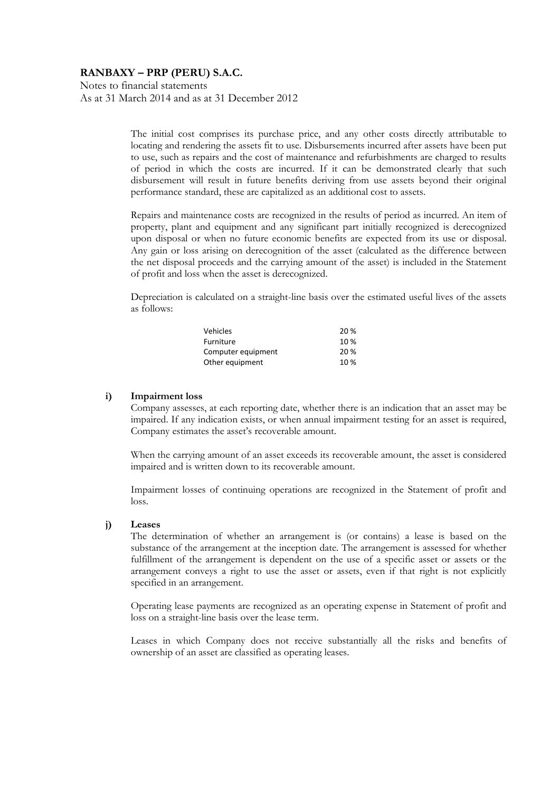Notes to financial statements As at 31 March 2014 and as at 31 December 2012

> The initial cost comprises its purchase price, and any other costs directly attributable to locating and rendering the assets fit to use. Disbursements incurred after assets have been put to use, such as repairs and the cost of maintenance and refurbishments are charged to results of period in which the costs are incurred. If it can be demonstrated clearly that such disbursement will result in future benefits deriving from use assets beyond their original performance standard, these are capitalized as an additional cost to assets.

> Repairs and maintenance costs are recognized in the results of period as incurred. An item of property, plant and equipment and any significant part initially recognized is derecognized upon disposal or when no future economic benefits are expected from its use or disposal. Any gain or loss arising on derecognition of the asset (calculated as the difference between the net disposal proceeds and the carrying amount of the asset) is included in the Statement of profit and loss when the asset is derecognized.

> Depreciation is calculated on a straight-line basis over the estimated useful lives of the assets as follows:

| Vehicles           | 20 % |
|--------------------|------|
| Furniture          | 10 % |
| Computer equipment | 20 % |
| Other equipment    | 10%  |

#### **i) Impairment loss**

Company assesses, at each reporting date, whether there is an indication that an asset may be impaired. If any indication exists, or when annual impairment testing for an asset is required, Company estimates the asset's recoverable amount.

When the carrying amount of an asset exceeds its recoverable amount, the asset is considered impaired and is written down to its recoverable amount.

Impairment losses of continuing operations are recognized in the Statement of profit and loss.

#### **j) Leases**

The determination of whether an arrangement is (or contains) a lease is based on the substance of the arrangement at the inception date. The arrangement is assessed for whether fulfillment of the arrangement is dependent on the use of a specific asset or assets or the arrangement conveys a right to use the asset or assets, even if that right is not explicitly specified in an arrangement.

Operating lease payments are recognized as an operating expense in Statement of profit and loss on a straight-line basis over the lease term.

Leases in which Company does not receive substantially all the risks and benefits of ownership of an asset are classified as operating leases.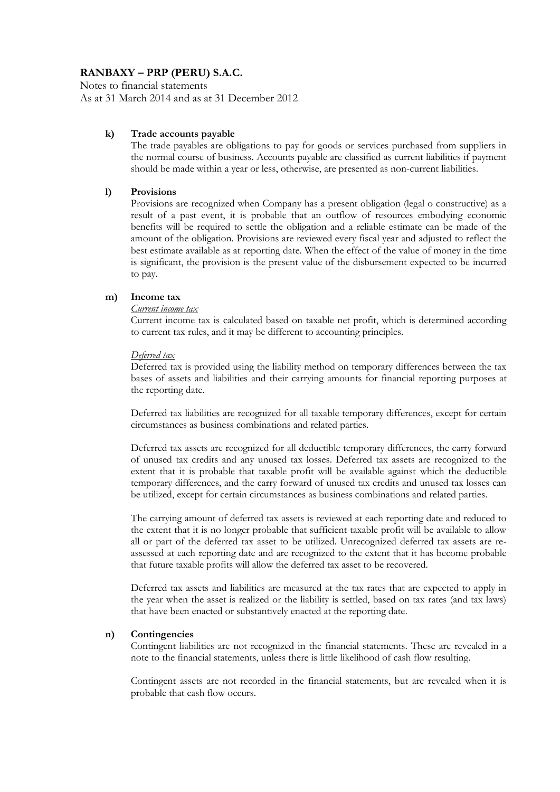Notes to financial statements As at 31 March 2014 and as at 31 December 2012

#### **k) Trade accounts payable**

The trade payables are obligations to pay for goods or services purchased from suppliers in the normal course of business. Accounts payable are classified as current liabilities if payment should be made within a year or less, otherwise, are presented as non-current liabilities.

#### **l) Provisions**

Provisions are recognized when Company has a present obligation (legal o constructive) as a result of a past event, it is probable that an outflow of resources embodying economic benefits will be required to settle the obligation and a reliable estimate can be made of the amount of the obligation. Provisions are reviewed every fiscal year and adjusted to reflect the best estimate available as at reporting date. When the effect of the value of money in the time is significant, the provision is the present value of the disbursement expected to be incurred to pay.

#### **m) Income tax**

#### *Current income tax*

Current income tax is calculated based on taxable net profit, which is determined according to current tax rules, and it may be different to accounting principles.

#### *Deferred tax*

Deferred tax is provided using the liability method on temporary differences between the tax bases of assets and liabilities and their carrying amounts for financial reporting purposes at the reporting date.

Deferred tax liabilities are recognized for all taxable temporary differences, except for certain circumstances as business combinations and related parties.

Deferred tax assets are recognized for all deductible temporary differences, the carry forward of unused tax credits and any unused tax losses. Deferred tax assets are recognized to the extent that it is probable that taxable profit will be available against which the deductible temporary differences, and the carry forward of unused tax credits and unused tax losses can be utilized, except for certain circumstances as business combinations and related parties.

The carrying amount of deferred tax assets is reviewed at each reporting date and reduced to the extent that it is no longer probable that sufficient taxable profit will be available to allow all or part of the deferred tax asset to be utilized. Unrecognized deferred tax assets are reassessed at each reporting date and are recognized to the extent that it has become probable that future taxable profits will allow the deferred tax asset to be recovered.

Deferred tax assets and liabilities are measured at the tax rates that are expected to apply in the year when the asset is realized or the liability is settled, based on tax rates (and tax laws) that have been enacted or substantively enacted at the reporting date.

#### **n) Contingencies**

Contingent liabilities are not recognized in the financial statements. These are revealed in a note to the financial statements, unless there is little likelihood of cash flow resulting.

Contingent assets are not recorded in the financial statements, but are revealed when it is probable that cash flow occurs.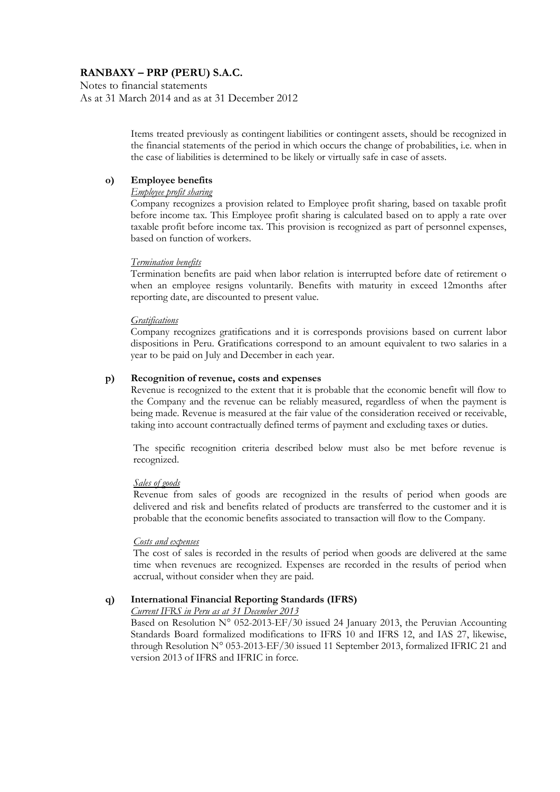Notes to financial statements As at 31 March 2014 and as at 31 December 2012

> Items treated previously as contingent liabilities or contingent assets, should be recognized in the financial statements of the period in which occurs the change of probabilities, i.e. when in the case of liabilities is determined to be likely or virtually safe in case of assets.

### **o) Employee benefits**

#### *Employee profit sharing*

Company recognizes a provision related to Employee profit sharing, based on taxable profit before income tax. This Employee profit sharing is calculated based on to apply a rate over taxable profit before income tax. This provision is recognized as part of personnel expenses, based on function of workers.

#### *Termination benefits*

Termination benefits are paid when labor relation is interrupted before date of retirement o when an employee resigns voluntarily. Benefits with maturity in exceed 12months after reporting date, are discounted to present value.

#### *Gratifications*

Company recognizes gratifications and it is corresponds provisions based on current labor dispositions in Peru. Gratifications correspond to an amount equivalent to two salaries in a year to be paid on July and December in each year.

#### **p) Recognition of revenue, costs and expenses**

Revenue is recognized to the extent that it is probable that the economic benefit will flow to the Company and the revenue can be reliably measured, regardless of when the payment is being made. Revenue is measured at the fair value of the consideration received or receivable, taking into account contractually defined terms of payment and excluding taxes or duties.

The specific recognition criteria described below must also be met before revenue is recognized.

#### *Sales of goods*

Revenue from sales of goods are recognized in the results of period when goods are delivered and risk and benefits related of products are transferred to the customer and it is probable that the economic benefits associated to transaction will flow to the Company.

#### *Costs and expenses*

The cost of sales is recorded in the results of period when goods are delivered at the same time when revenues are recognized. Expenses are recorded in the results of period when accrual, without consider when they are paid.

### **q) International Financial Reporting Standards (IFRS)**

*Current IFRS in Peru as at 31 December 2013*

Based on Resolution  $N^{\circ}$  052-2013-EF/30 issued 24 January 2013, the Peruvian Accounting Standards Board formalized modifications to IFRS 10 and IFRS 12, and IAS 27, likewise, through Resolution N° 053-2013-EF/30 issued 11 September 2013, formalized IFRIC 21 and version 2013 of IFRS and IFRIC in force.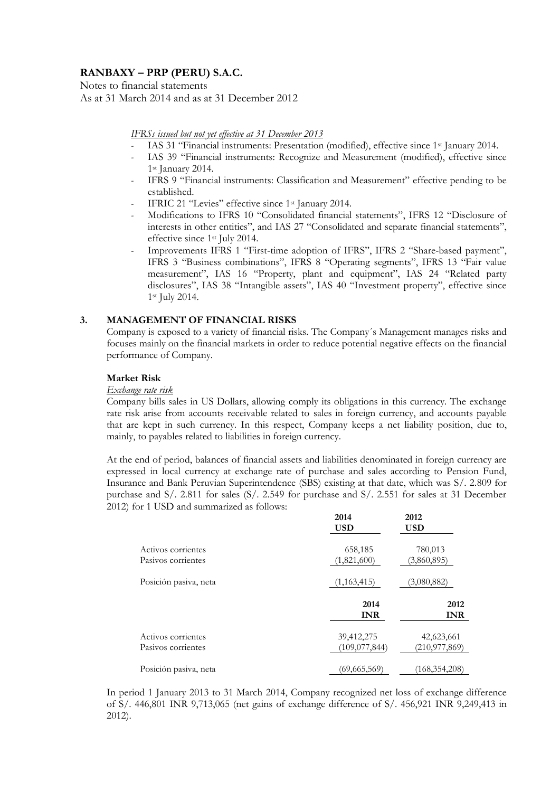Notes to financial statements As at 31 March 2014 and as at 31 December 2012

#### *IFRSs issued but not yet effective at 31 December 2013*

- *-* IAS 31 "Financial instruments: Presentation (modified), effective since 1st January 2014.
- *-* IAS 39 "Financial instruments: Recognize and Measurement (modified), effective since 1st January 2014.
- IFRS 9 "Financial instruments: Classification and Measurement" effective pending to be established.
- *-* IFRIC 21 "Levies" effective since 1st January 2014.
- *-* Modifications to IFRS 10 "Consolidated financial statements", IFRS 12 "Disclosure of interests in other entities", and IAS 27 "Consolidated and separate financial statements", effective since 1st July 2014.
- Improvements IFRS 1 "First-time adoption of IFRS", IFRS 2 "Share-based payment", IFRS 3 "Business combinations", IFRS 8 "Operating segments", IFRS 13 "Fair value measurement", IAS 16 "Property, plant and equipment", IAS 24 "Related party disclosures", IAS 38 "Intangible assets", IAS 40 "Investment property", effective since 1st July 2014.

#### **3. MANAGEMENT OF FINANCIAL RISKS**

Company is exposed to a variety of financial risks. The Company´s Management manages risks and focuses mainly on the financial markets in order to reduce potential negative effects on the financial performance of Company.

#### **Market Risk**

#### *Exchange rate risk*

Company bills sales in US Dollars, allowing comply its obligations in this currency. The exchange rate risk arise from accounts receivable related to sales in foreign currency, and accounts payable that are kept in such currency. In this respect, Company keeps a net liability position, due to, mainly, to payables related to liabilities in foreign currency.

At the end of period, balances of financial assets and liabilities denominated in foreign currency are expressed in local currency at exchange rate of purchase and sales according to Pension Fund, Insurance and Bank Peruvian Superintendence (SBS) existing at that date, which was S/. 2.809 for purchase and S/. 2.811 for sales (S/. 2.549 for purchase and S/. 2.551 for sales at 31 December 2012) for 1 USD and summarized as follows:

|                                          | 2014<br><b>USD</b>            | 2012<br>USD                   |
|------------------------------------------|-------------------------------|-------------------------------|
| Activos corrientes<br>Pasivos corrientes | 658,185<br>(1,821,600)        | 780,013<br>(3,860,895)        |
| Posición pasiva, neta                    | (1,163,415)                   | (3,080,882)                   |
|                                          | 2014<br><b>INR</b>            | 2012<br><b>INR</b>            |
| Activos corrientes<br>Pasivos corrientes | 39,412,275<br>(109, 077, 844) | 42,623,661<br>(210, 977, 869) |
|                                          |                               |                               |

In period 1 January 2013 to 31 March 2014, Company recognized net loss of exchange difference of S/. 446,801 INR 9,713,065 (net gains of exchange difference of S/. 456,921 INR 9,249,413 in 2012).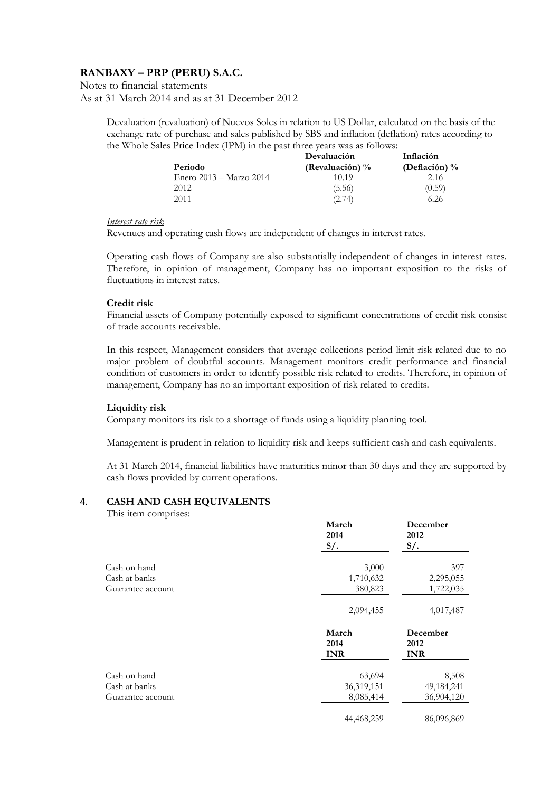Notes to financial statements As at 31 March 2014 and as at 31 December 2012

> Devaluation (revaluation) of Nuevos Soles in relation to US Dollar, calculated on the basis of the exchange rate of purchase and sales published by SBS and inflation (deflation) rates according to the Whole Sales Price Index (IPM) in the past three years was as follows:

|                         | Devaluación     | Inflación        |
|-------------------------|-----------------|------------------|
| <b>Periodo</b>          | (Revaluación) % | (Deflación) $\%$ |
| Enero 2013 – Marzo 2014 | 10.19           | 2.16             |
| 2012                    | (5.56)          | (0.59)           |
| 2011                    | (2.74)          | 6.26             |

#### *Interest rate risk*

Revenues and operating cash flows are independent of changes in interest rates.

Operating cash flows of Company are also substantially independent of changes in interest rates. Therefore, in opinion of management, Company has no important exposition to the risks of fluctuations in interest rates.

#### **Credit risk**

Financial assets of Company potentially exposed to significant concentrations of credit risk consist of trade accounts receivable.

In this respect, Management considers that average collections period limit risk related due to no major problem of doubtful accounts. Management monitors credit performance and financial condition of customers in order to identify possible risk related to credits. Therefore, in opinion of management, Company has no an important exposition of risk related to credits.

#### **Liquidity risk**

Company monitors its risk to a shortage of funds using a liquidity planning tool.

Management is prudent in relation to liquidity risk and keeps sufficient cash and cash equivalents.

At 31 March 2014, financial liabilities have maturities minor than 30 days and they are supported by cash flows provided by current operations.

#### 4. **CASH AND CASH EQUIVALENTS**

This item comprises:

|                   | March<br>2014<br>$S/$ .     | December<br>2012<br>$S/\lambda$ . |
|-------------------|-----------------------------|-----------------------------------|
| Cash on hand      | 3,000                       | 397                               |
| Cash at banks     | 1,710,632                   | 2,295,055                         |
| Guarantee account | 380,823                     | 1,722,035                         |
|                   | 2,094,455                   | 4,017,487                         |
|                   | March<br>2014<br><b>INR</b> | December<br>2012<br><b>INR</b>    |
| Cash on hand      | 63,694                      | 8,508                             |
| Cash at banks     | 36,319,151                  | 49,184,241                        |
| Guarantee account | 8,085,414                   | 36,904,120                        |
|                   | 44,468,259                  | 86,096,869                        |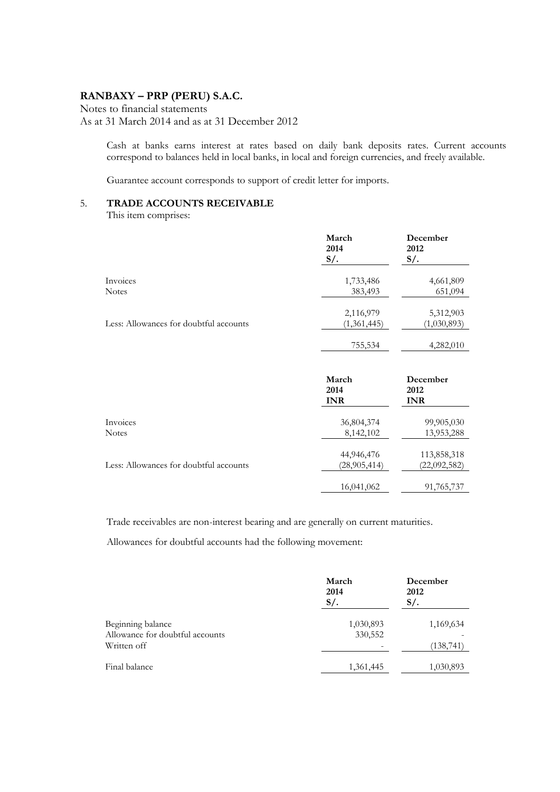Notes to financial statements As at 31 March 2014 and as at 31 December 2012

> Cash at banks earns interest at rates based on daily bank deposits rates. Current accounts correspond to balances held in local banks, in local and foreign currencies, and freely available.

Guarantee account corresponds to support of credit letter for imports.

## 5. **TRADE ACCOUNTS RECEIVABLE**

This item comprises:

|                                        | March<br>2014<br>$S/$ . | December<br>2012<br>$S/$ . |
|----------------------------------------|-------------------------|----------------------------|
| Invoices                               | 1,733,486               | 4,661,809                  |
| <b>Notes</b>                           | 383,493                 | 651,094                    |
|                                        | 2,116,979               | 5,312,903                  |
| Less: Allowances for doubtful accounts | (1,361,445)             | (1,030,893)                |
|                                        | 755,534                 | 4,282,010                  |

|                                        | March<br>2014<br><b>INR</b> | December<br>2012<br><b>INR</b> |
|----------------------------------------|-----------------------------|--------------------------------|
| Invoices                               | 36,804,374                  | 99,905,030                     |
| <b>Notes</b>                           | 8,142,102                   | 13,953,288                     |
|                                        | 44,946,476                  | 113,858,318                    |
| Less: Allowances for doubtful accounts | (28, 905, 414)              | (22,092,582)                   |
|                                        | 16,041,062                  | 91,765,737                     |

Trade receivables are non-interest bearing and are generally on current maturities.

Allowances for doubtful accounts had the following movement:

|                                                                     | March<br>2014<br>$S/$ . | December<br>2012<br>$S/\cdot$ |
|---------------------------------------------------------------------|-------------------------|-------------------------------|
| Beginning balance<br>Allowance for doubtful accounts<br>Written off | 1,030,893<br>330,552    | 1,169,634<br>(138, 741)       |
| Final balance                                                       | 1,361,445               | 1,030,893                     |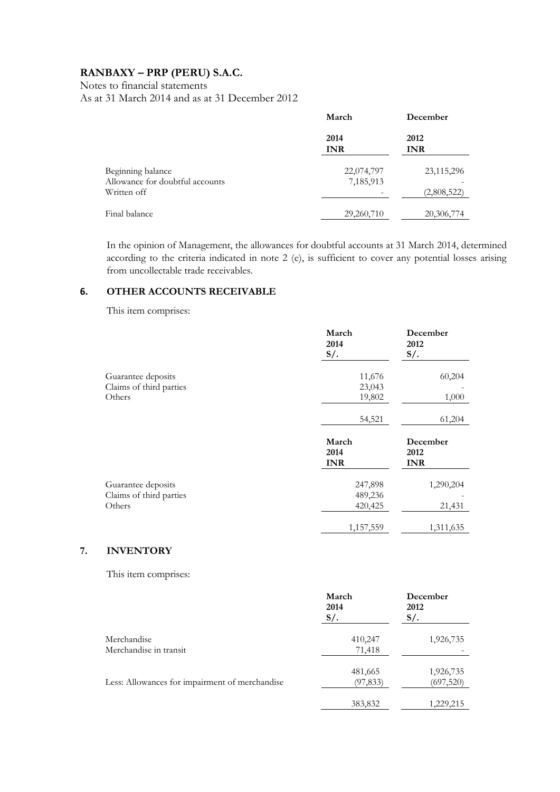Notes to financial statements

As at 31 March 2014 and as at 31 December 2012

|                                                                     | March                   | December                    |
|---------------------------------------------------------------------|-------------------------|-----------------------------|
|                                                                     | 2014<br><b>INR</b>      | 2012<br><b>INR</b>          |
| Beginning balance<br>Allowance for doubtful accounts<br>Written off | 22,074,797<br>7,185,913 | 23, 115, 296<br>(2,808,522) |
| Final balance                                                       | 29,260,710              | 20,306,774                  |

In the opinion of Management, the allowances for doubtful accounts at 31 March 2014, determined according to the criteria indicated in note 2 (e), is sufficient to cover any potential losses arising from uncollectable trade receivables.

#### **6. OTHER ACCOUNTS RECEIVABLE**

This item comprises:

|                         | March<br>2014<br>$S/$ .     | December<br>2012<br>$S/$ .     |
|-------------------------|-----------------------------|--------------------------------|
| Guarantee deposits      | 11,676                      | 60,204                         |
| Claims of third parties | 23,043                      |                                |
| Others                  | 19,802                      | 1,000                          |
|                         | 54,521                      | 61,204                         |
|                         | March<br>2014<br><b>INR</b> | December<br>2012<br><b>INR</b> |
| Guarantee deposits      | 247,898                     | 1,290,204                      |
| Claims of third parties | 489,236                     |                                |
| Others                  | 420,425                     | 21,431                         |
|                         | 1,157,559                   | 1,311,635                      |

# **7. INVENTORY**

This item comprises:

|                                                | March<br>2014<br>$S/\lambda$ | December<br>2012<br>$S/$ . |
|------------------------------------------------|------------------------------|----------------------------|
| Merchandise<br>Merchandise in transit          | 410,247<br>71,418            | 1,926,735                  |
| Less: Allowances for impairment of merchandise | 481,665<br>(97, 833)         | 1,926,735<br>(697,520)     |
|                                                | 383,832                      | 1,229,215                  |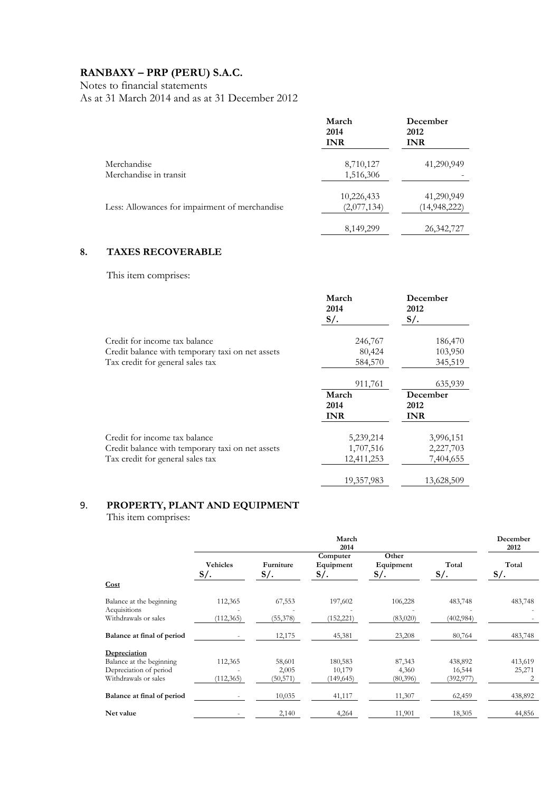Notes to financial statements

As at 31 March 2014 and as at 31 December 2012

|                                                | March<br>2014<br><b>INR</b> | December<br>2012<br><b>INR</b> |
|------------------------------------------------|-----------------------------|--------------------------------|
| Merchandise<br>Merchandise in transit          | 8,710,127<br>1,516,306      | 41,290,949                     |
| Less: Allowances for impairment of merchandise | 10,226,433<br>(2,077,134)   | 41,290,949<br>(14, 948, 222)   |
|                                                | 8,149,299                   | 26, 342, 727                   |

# **8. TAXES RECOVERABLE**

This item comprises:

|                                                  | March<br>2014<br>$S/\lambda$ . | December<br>2012<br>$S/\lambda$ |
|--------------------------------------------------|--------------------------------|---------------------------------|
| Credit for income tax balance                    | 246,767                        | 186,470                         |
| Credit balance with temporary taxi on net assets | 80,424                         | 103,950                         |
| Tax credit for general sales tax                 | 584,570                        | 345,519                         |
|                                                  | 911,761                        | 635,939                         |
|                                                  | March<br>2014<br><b>INR</b>    | December<br>2012<br><b>INR</b>  |
| Credit for income tax balance                    | 5,239,214                      | 3,996,151                       |
| Credit balance with temporary taxi on net assets | 1,707,516                      | 2,227,703                       |
| Tax credit for general sales tax                 | 12,411,253                     | 7,404,655                       |
|                                                  |                                |                                 |

# 9. **PROPERTY, PLANT AND EQUIPMENT**

This item comprises:

|                            | March<br>2014                |                          |                                 | December<br>2012          |                        |                      |
|----------------------------|------------------------------|--------------------------|---------------------------------|---------------------------|------------------------|----------------------|
| Cost                       | <b>Vehicles</b><br>$S/\cdot$ | Furniture<br>$S/\lambda$ | Computer<br>Equipment<br>$S/$ . | Other<br>Equipment<br>S/. | Total<br>$S/\lambda$ . | Total<br>$S/\lambda$ |
|                            |                              |                          |                                 |                           |                        |                      |
| Balance at the beginning   | 112,365                      | 67,553                   | 197,602                         | 106,228                   | 483,748                | 483,748              |
| Acquisitions               |                              |                          |                                 |                           |                        |                      |
| Withdrawals or sales       | (112, 365)                   | (55, 378)                | (152, 221)                      | (83,020)                  | (402, 984)             |                      |
| Balance at final of period |                              | 12,175                   | 45,381                          | 23,208                    | 80,764                 | 483,748              |
| Depreciation               |                              |                          |                                 |                           |                        |                      |
| Balance at the beginning   | 112,365                      | 58,601                   | 180,583                         | 87,343                    | 438,892                | 413,619              |
| Depreciation of period     |                              | 2,005                    | 10,179                          | 4,360                     | 16,544                 | 25,271               |
| Withdrawals or sales       | (112, 365)                   | (50, 571)                | (149, 645)                      | (80, 396)                 | (392, 977)             | 2                    |
| Balance at final of period |                              | 10,035                   | 41,117                          | 11,307                    | 62,459                 | 438,892              |
| Net value                  |                              | 2,140                    | 4,264                           | 11,901                    | 18,305                 | 44,856               |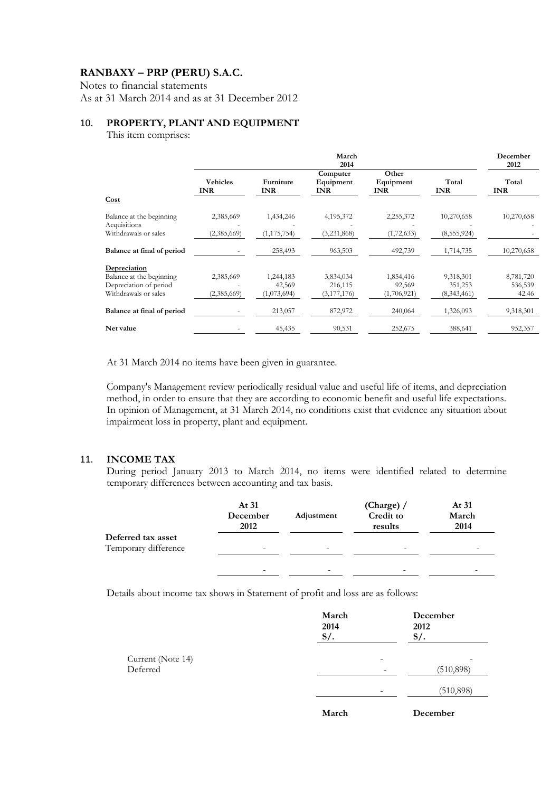Notes to financial statements

As at 31 March 2014 and as at 31 December 2012

#### 10. **PROPERTY, PLANT AND EQUIPMENT**

This item comprises:

|                                                                            | March<br>2014                 |                                    |                                     | December<br>2012                   |                                     |                               |
|----------------------------------------------------------------------------|-------------------------------|------------------------------------|-------------------------------------|------------------------------------|-------------------------------------|-------------------------------|
|                                                                            | <b>Vehicles</b><br><b>INR</b> | Furniture<br><b>INR</b>            | Computer<br>Equipment<br><b>INR</b> | Other<br>Equipment<br><b>INR</b>   | Total<br><b>INR</b>                 | Total<br><b>INR</b>           |
| Cost                                                                       |                               |                                    |                                     |                                    |                                     |                               |
| Balance at the beginning<br>Acquisitions                                   | 2,385,669                     | 1,434,246                          | 4,195,372                           | 2,255,372                          | 10,270,658                          | 10,270,658                    |
| Withdrawals or sales                                                       | (2,385,669)                   | (1, 175, 754)                      | (3,231,868)                         | (1, 72, 633)                       | (8, 555, 924)                       |                               |
| Balance at final of period                                                 |                               | 258,493                            | 963,503                             | 492,739                            | 1,714,735                           | 10,270,658                    |
| Depreciation                                                               |                               |                                    |                                     |                                    |                                     |                               |
| Balance at the beginning<br>Depreciation of period<br>Withdrawals or sales | 2,385,669<br>(2,385,669)      | 1,244,183<br>42,569<br>(1,073,694) | 3,834,034<br>216,115<br>(3,177,176) | 1,854,416<br>92,569<br>(1,706,921) | 9,318,301<br>351,253<br>(8,343,461) | 8,781,720<br>536,539<br>42.46 |
| Balance at final of period                                                 |                               | 213,057                            | 872,972                             | 240,064                            | 1,326,093                           | 9,318,301                     |
| Net value                                                                  |                               | 45,435                             | 90,531                              | 252,675                            | 388,641                             | 952,357                       |

At 31 March 2014 no items have been given in guarantee.

Company's Management review periodically residual value and useful life of items, and depreciation method, in order to ensure that they are according to economic benefit and useful life expectations. In opinion of Management, at 31 March 2014, no conditions exist that evidence any situation about impairment loss in property, plant and equipment.

#### 11. **INCOME TAX**

During period January 2013 to March 2014, no items were identified related to determine temporary differences between accounting and tax basis.

|                      | At 31<br>December<br>2012 | Adjustment               | (Charge) $/$<br>Credit to<br>results | At 31<br>March<br>2014 |
|----------------------|---------------------------|--------------------------|--------------------------------------|------------------------|
| Deferred tax asset   |                           |                          |                                      |                        |
| Temporary difference | $\overline{\phantom{a}}$  | $\overline{\phantom{a}}$ | $\overline{\phantom{0}}$             | -                      |
|                      | $\overline{\phantom{a}}$  | -                        | $\overline{\phantom{0}}$             |                        |

Details about income tax shows in Statement of profit and loss are as follows:

|                               | March<br>2014<br>$S/$ .  | December<br>2012<br>$S/$ . |
|-------------------------------|--------------------------|----------------------------|
| Current (Note 14)<br>Deferred |                          | ۰<br>(510, 898)<br>-       |
|                               | $\overline{\phantom{a}}$ | (510, 898)                 |
|                               | March                    | December                   |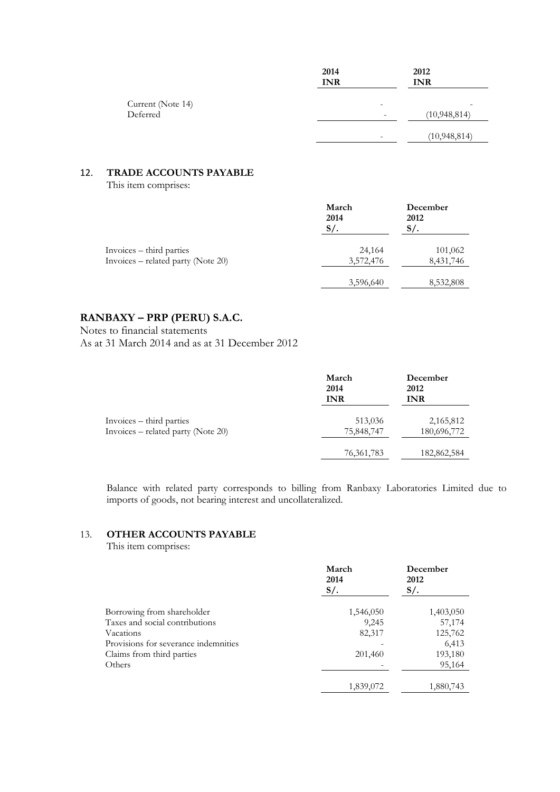|                               | 2014<br><b>INR</b> | 2012<br><b>INR</b>  |
|-------------------------------|--------------------|---------------------|
| Current (Note 14)<br>Deferred | -<br>۰             | -<br>(10, 948, 814) |
|                               | -                  | (10, 948, 814)      |

## 12. **TRADE ACCOUNTS PAYABLE**

This item comprises:

|                                    | March<br>2014<br>$S/\lambda$ | December<br>2012<br>$S/\sim$ |
|------------------------------------|------------------------------|------------------------------|
| Invoices – third parties           | 24,164                       | 101,062                      |
| Invoices – related party (Note 20) | 3,572,476                    | 8,431,746                    |
|                                    | 3,596,640                    | 8,532,808                    |

#### **RANBAXY – PRP (PERU) S.A.C.**

Notes to financial statements

As at 31 March 2014 and as at 31 December 2012

|                                    | March<br>2014<br><b>INR</b> | December<br>2012<br><b>INR</b> |
|------------------------------------|-----------------------------|--------------------------------|
| Invoices – third parties           | 513,036                     | 2,165,812                      |
| Invoices – related party (Note 20) | 75,848,747                  | 180,696,772                    |
|                                    | 76, 361, 783                | 182,862,584                    |

Balance with related party corresponds to billing from Ranbaxy Laboratories Limited due to imports of goods, not bearing interest and uncollateralized.

# 13. **OTHER ACCOUNTS PAYABLE**

This item comprises:

|                                      | March<br>2014<br>$S/\cdot$ | December<br>2012<br>$S/\lambda$ |
|--------------------------------------|----------------------------|---------------------------------|
| Borrowing from shareholder           | 1,546,050                  | 1,403,050                       |
| Taxes and social contributions       | 9,245                      | 57,174                          |
| Vacations                            | 82,317                     | 125,762                         |
| Provisions for severance indemnities |                            | 6,413                           |
| Claims from third parties            | 201,460                    | 193,180                         |
| Others                               |                            | 95,164                          |
|                                      | 1,839,072                  | 1,880,743                       |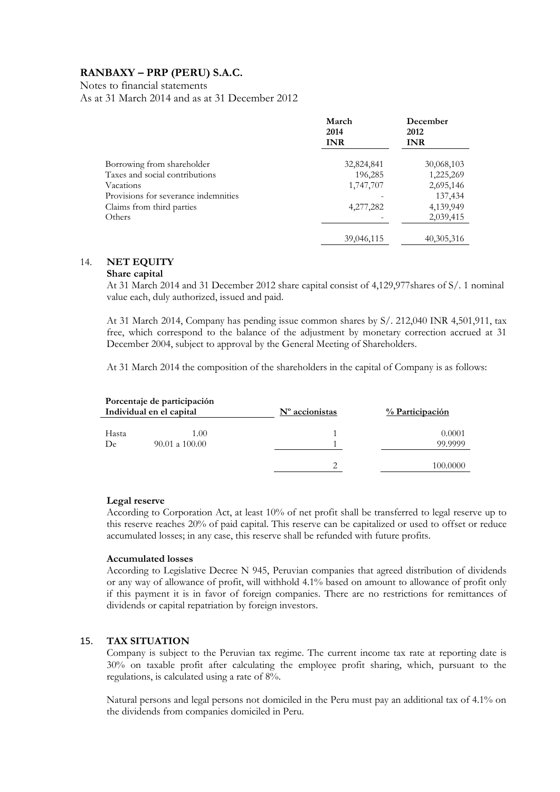Notes to financial statements

As at 31 March 2014 and as at 31 December 2012

|                                      | March<br>2014<br><b>INR</b> | December<br>2012<br><b>INR</b> |
|--------------------------------------|-----------------------------|--------------------------------|
| Borrowing from shareholder           | 32,824,841                  | 30,068,103                     |
| Taxes and social contributions       | 196,285                     | 1,225,269                      |
| Vacations                            | 1,747,707                   | 2,695,146                      |
| Provisions for severance indemnities |                             | 137,434                        |
| Claims from third parties            | 4,277,282                   | 4,139,949                      |
| Others                               |                             | 2,039,415                      |
|                                      | 39,046,115                  | 40, 305, 316                   |

#### 14. **NET EQUITY**

#### **Share capital**

At 31 March 2014 and 31 December 2012 share capital consist of 4,129,977shares of S/. 1 nominal value each, duly authorized, issued and paid.

At 31 March 2014, Company has pending issue common shares by S/. 212,040 INR 4,501,911, tax free, which correspond to the balance of the adjustment by monetary correction accrued at 31 December 2004, subject to approval by the General Meeting of Shareholders.

At 31 March 2014 the composition of the shareholders in the capital of Company is as follows:

|             | Porcentaje de participación<br>Individual en el capital | $No$ accionistas | % Participación   |
|-------------|---------------------------------------------------------|------------------|-------------------|
| Hasta<br>De | 1.00<br>$90.01$ a $100.00$                              |                  | 0.0001<br>99.9999 |
|             |                                                         | ◠                | 100,0000          |

#### **Legal reserve**

According to Corporation Act, at least 10% of net profit shall be transferred to legal reserve up to this reserve reaches 20% of paid capital. This reserve can be capitalized or used to offset or reduce accumulated losses; in any case, this reserve shall be refunded with future profits.

#### **Accumulated losses**

According to Legislative Decree N 945, Peruvian companies that agreed distribution of dividends or any way of allowance of profit, will withhold 4.1% based on amount to allowance of profit only if this payment it is in favor of foreign companies. There are no restrictions for remittances of dividends or capital repatriation by foreign investors.

#### 15. **TAX SITUATION**

Company is subject to the Peruvian tax regime. The current income tax rate at reporting date is 30% on taxable profit after calculating the employee profit sharing, which, pursuant to the regulations, is calculated using a rate of 8%.

Natural persons and legal persons not domiciled in the Peru must pay an additional tax of 4.1% on the dividends from companies domiciled in Peru.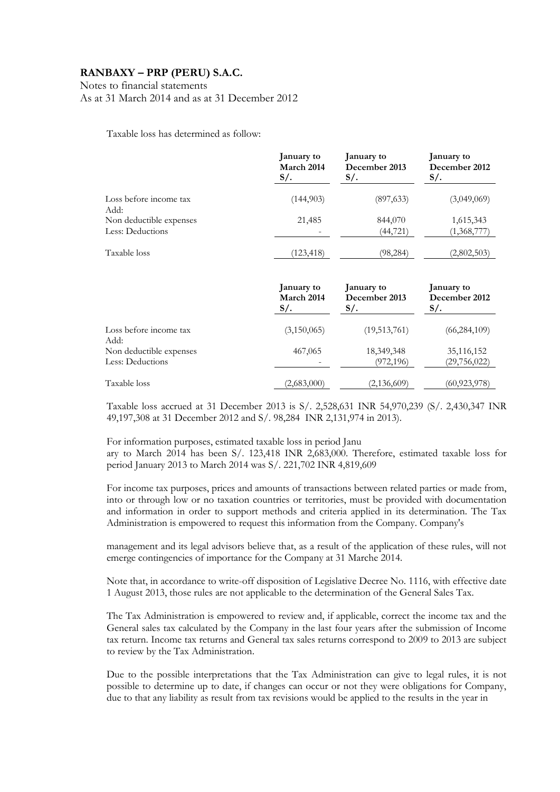Notes to financial statements

As at 31 March 2014 and as at 31 December 2012

Taxable loss has determined as follow:

|                                | January to | January to    | January to    |
|--------------------------------|------------|---------------|---------------|
|                                | March 2014 | December 2013 | December 2012 |
|                                | $S/\cdot$  | $S/\cdot$     | $S/\cdot$     |
| Loss before income tax<br>Add: | (144,903)  | (897, 633)    | (3,049,069)   |
| Non deductible expenses        | 21,485     | 844,070       | 1,615,343     |
| Less: Deductions               |            | (44, 721)     | (1,368,777)   |
| Taxable loss                   | (123, 418) | (98, 284)     | (2,802,503)   |

|                                | January to  | January to    | January to     |
|--------------------------------|-------------|---------------|----------------|
|                                | March 2014  | December 2013 | December 2012  |
|                                | $S/\cdot$   | $S/\lambda$   | $S/\lambda$    |
| Loss before income tax<br>Add: | (3,150,065) | (19,513,761)  | (66, 284, 109) |
| Non deductible expenses        | 467,065     | 18,349,348    | 35, 116, 152   |
| Less: Deductions               |             | (972, 196)    | (29, 756, 022) |
| Taxable loss                   | (2,683,000) | (2,136,609)   | (60, 923, 978) |

Taxable loss accrued at 31 December 2013 is S/. 2,528,631 INR 54,970,239 (S/. 2,430,347 INR 49,197,308 at 31 December 2012 and S/. 98,284 INR 2,131,974 in 2013).

For information purposes, estimated taxable loss in period Janu ary to March 2014 has been S/. 123,418 INR 2,683,000. Therefore, estimated taxable loss for period January 2013 to March 2014 was S/. 221,702 INR 4,819,609

For income tax purposes, prices and amounts of transactions between related parties or made from, into or through low or no taxation countries or territories, must be provided with documentation and information in order to support methods and criteria applied in its determination. The Tax Administration is empowered to request this information from the Company. Company's

management and its legal advisors believe that, as a result of the application of these rules, will not emerge contingencies of importance for the Company at 31 Marche 2014.

Note that, in accordance to write-off disposition of Legislative Decree No. 1116, with effective date 1 August 2013, those rules are not applicable to the determination of the General Sales Tax.

The Tax Administration is empowered to review and, if applicable, correct the income tax and the General sales tax calculated by the Company in the last four years after the submission of Income tax return. Income tax returns and General tax sales returns correspond to 2009 to 2013 are subject to review by the Tax Administration.

Due to the possible interpretations that the Tax Administration can give to legal rules, it is not possible to determine up to date, if changes can occur or not they were obligations for Company, due to that any liability as result from tax revisions would be applied to the results in the year in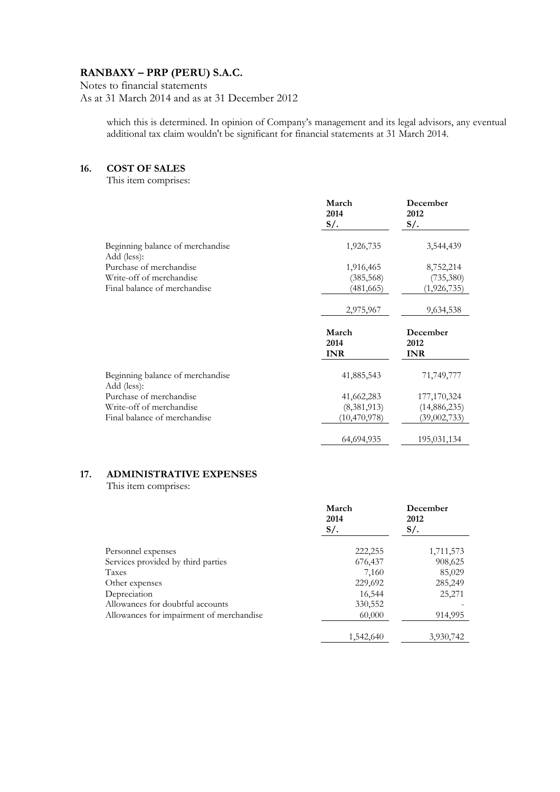Notes to financial statements As at 31 March 2014 and as at 31 December 2012

> which this is determined. In opinion of Company's management and its legal advisors, any eventual additional tax claim wouldn't be significant for financial statements at 31 March 2014.

#### **16. COST OF SALES**

This item comprises:

|                                                 | March<br>2014<br>$S/\lambda$ | December<br>2012<br>$S/\lambda$ |
|-------------------------------------------------|------------------------------|---------------------------------|
| Beginning balance of merchandise<br>Add (less): | 1,926,735                    | 3,544,439                       |
| Purchase of merchandise                         | 1,916,465                    | 8,752,214                       |
| Write-off of merchandise                        | (385, 568)                   | (735, 380)                      |
| Final balance of merchandise                    | (481,665)                    | (1,926,735)                     |
|                                                 | 2,975,967                    | 9,634,538                       |
|                                                 | March<br>2014<br><b>INR</b>  | December<br>2012<br><b>INR</b>  |
| Beginning balance of merchandise<br>Add (less): | 41,885,543                   | 71,749,777                      |
| Purchase of merchandise                         | 41,662,283                   | 177,170,324                     |
| Write-off of merchandise                        | (8,381,913)                  | (14, 886, 235)                  |
| Final balance of merchandise                    | (10, 470, 978)               | (39,002,733)                    |
|                                                 |                              |                                 |

# **17. ADMINISTRATIVE EXPENSES**

This item comprises:

|                                          | March<br>2014<br>$S/\lambda$ | December<br>2012<br>$S/\lambda$ . |
|------------------------------------------|------------------------------|-----------------------------------|
| Personnel expenses                       | 222,255                      | 1,711,573                         |
| Services provided by third parties       | 676,437                      | 908,625                           |
| Taxes                                    | 7,160                        | 85,029                            |
| Other expenses                           | 229,692                      | 285,249                           |
| Depreciation                             | 16,544                       | 25,271                            |
| Allowances for doubtful accounts         | 330,552                      |                                   |
| Allowances for impairment of merchandise | 60,000                       | 914,995                           |
|                                          | 1,542,640                    | 3,930,742                         |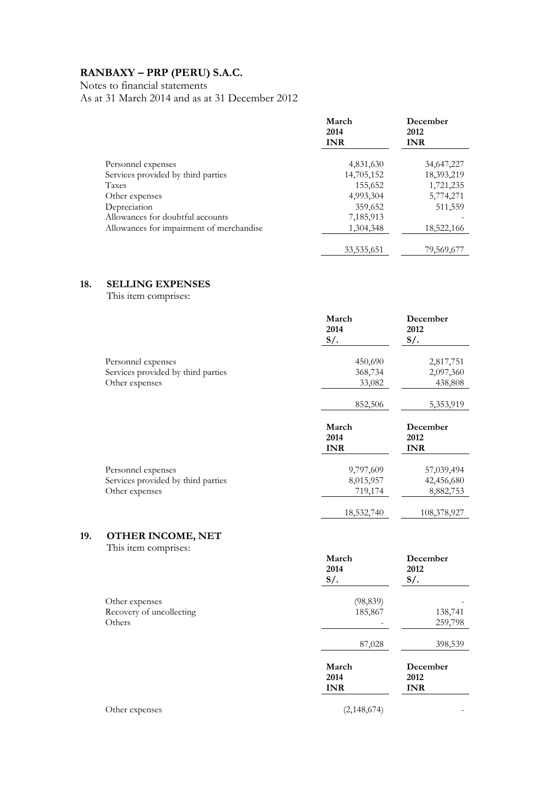Notes to financial statements

As at 31 March 2014 and as at 31 December 2012

|                                          | March<br>2014<br><b>INR</b> | December<br>2012<br><b>INR</b> |
|------------------------------------------|-----------------------------|--------------------------------|
| Personnel expenses                       | 4,831,630                   | 34,647,227                     |
| Services provided by third parties       | 14,705,152                  | 18,393,219                     |
| Taxes                                    | 155,652                     | 1,721,235                      |
| Other expenses                           | 4,993,304                   | 5,774,271                      |
| Depreciation                             | 359,652                     | 511,559                        |
| Allowances for doubtful accounts         | 7,185,913                   |                                |
| Allowances for impairment of merchandise | 1,304,348                   | 18,522,166                     |
|                                          | 33, 535, 651                | 79,569,677                     |

### **18. SELLING EXPENSES**

This item comprises:

|                                    | March<br>2014<br>$S/$ .     | December<br>2012<br>$S/\cdot$  |
|------------------------------------|-----------------------------|--------------------------------|
| Personnel expenses                 | 450,690                     | 2,817,751                      |
| Services provided by third parties | 368,734                     | 2,097,360                      |
| Other expenses                     | 33,082                      | 438,808                        |
|                                    | 852,506                     | 5,353,919                      |
|                                    | March<br>2014<br><b>INR</b> | December<br>2012<br><b>INR</b> |
| Personnel expenses                 | 9,797,609                   | 57,039,494                     |
| Services provided by third parties | 8,015,957                   | 42,456,680                     |
| Other expenses                     | 719,174                     | 8,882,753                      |
|                                    |                             |                                |

# **19. OTHER INCOME, NET**

This item comprises:

|                                    | March<br>2014<br>$S/$ .     | December<br>2012<br>$S/$ .     |
|------------------------------------|-----------------------------|--------------------------------|
| Other expenses                     | (98, 839)                   |                                |
| Recovery of uncollecting<br>Others | 185,867                     | 138,741<br>259,798             |
|                                    |                             |                                |
|                                    | 87,028                      | 398,539                        |
|                                    | March<br>2014<br><b>INR</b> | December<br>2012<br><b>INR</b> |
| Other expenses                     | (2,148,674)                 |                                |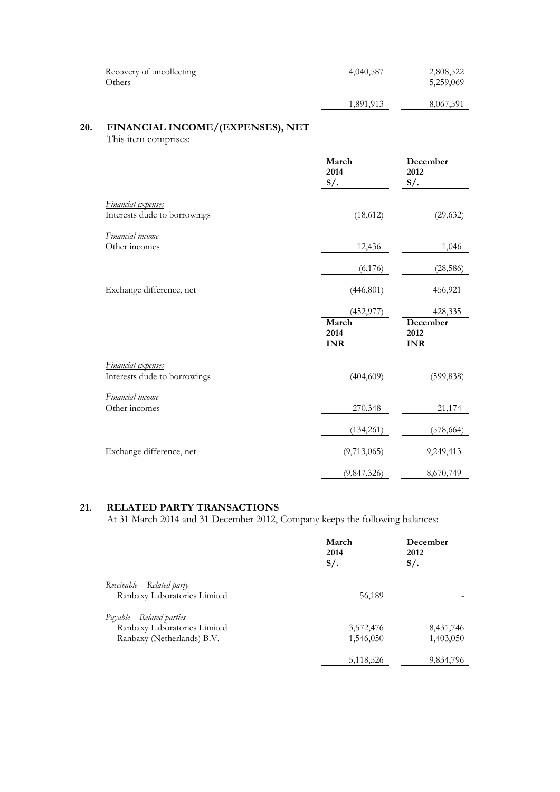| Recovery of uncollecting | 4,040,587 | 2,808,522 |
|--------------------------|-----------|-----------|
| Others                   | -         | 5,259,069 |
|                          | 1,891,913 | 8,067,591 |

# **20. FINANCIAL INCOME/(EXPENSES), NET**

This item comprises:

|                                                           | March<br>2014<br>$S/$ .                   | December<br>2012<br>$S/$ .                |
|-----------------------------------------------------------|-------------------------------------------|-------------------------------------------|
| <b>Financial</b> expenses<br>Interests dude to borrowings | (18,612)                                  | (29, 632)                                 |
| Financial income<br>Other incomes                         | 12,436                                    | 1,046                                     |
|                                                           | (6, 176)                                  | (28, 586)                                 |
| Exchange difference, net                                  | (446, 801)                                | 456,921                                   |
|                                                           | (452, 977)<br>March<br>2014<br><b>INR</b> | 428,335<br>December<br>2012<br><b>INR</b> |
| Financial expenses<br>Interests dude to borrowings        | (404, 609)                                | (599, 838)                                |
| Financial income<br>Other incomes                         | 270,348                                   | 21,174                                    |
|                                                           | (134, 261)                                | (578, 664)                                |
| Exchange difference, net                                  | (9,713,065)                               | 9,249,413                                 |
|                                                           | (9,847,326)                               | 8,670,749                                 |

#### **21. RELATED PARTY TRANSACTIONS**

At 31 March 2014 and 31 December 2012, Company keeps the following balances:

|                                                                                                | March<br>2014<br>$S/$ . | December<br>2012<br>$S/\lambda$ . |
|------------------------------------------------------------------------------------------------|-------------------------|-----------------------------------|
| Receivable – Related party<br>Ranbaxy Laboratories Limited                                     | 56,189                  |                                   |
| <u>Payable – Related parties</u><br>Ranbaxy Laboratories Limited<br>Ranbaxy (Netherlands) B.V. | 3,572,476<br>1,546,050  | 8,431,746<br>1,403,050            |
|                                                                                                | 5,118,526               | 9,834,796                         |